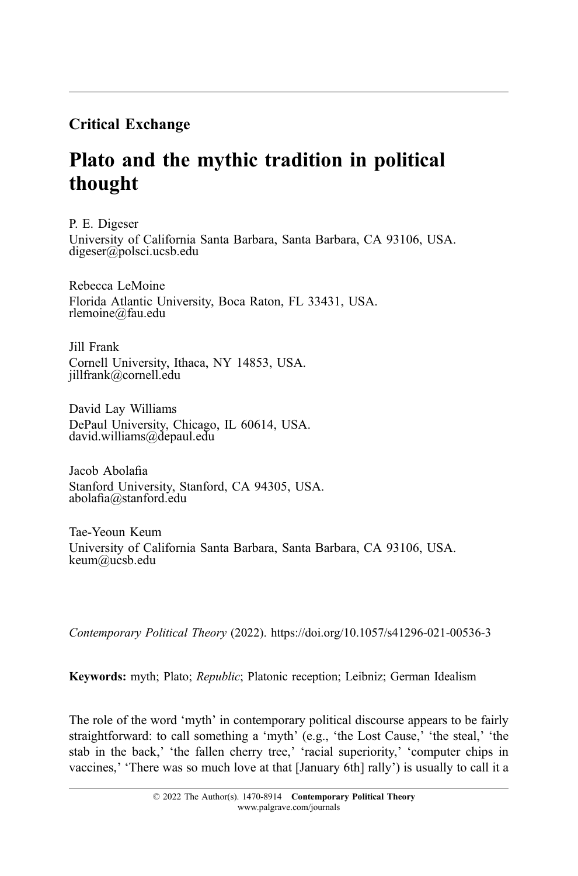## Critical Exchange

# Plato and the mythic tradition in political thought

P. E. Digeser University of California Santa Barbara, Santa Barbara, CA 93106, USA. digeser@polsci.ucsb.edu

Rebecca LeMoine Florida Atlantic University, Boca Raton, FL 33431, USA. rlemoine@fau.edu

Jill Frank Cornell University, Ithaca, NY 14853, USA. jillfrank@cornell.edu

David Lay Williams DePaul University, Chicago, IL 60614, USA. david.williams@depaul.edu

Jacob Abolafia Stanford University, Stanford, CA 94305, USA. abolafia@stanford.edu

Tae-Yeoun Keum University of California Santa Barbara, Santa Barbara, CA 93106, USA. keum@ucsb.edu

Contemporary Political Theory (2022). https://doi.org/10.1057/s41296-021-00536-3

Keywords: myth; Plato; Republic; Platonic reception; Leibniz; German Idealism

The role of the word 'myth' in contemporary political discourse appears to be fairly straightforward: to call something a 'myth' (e.g., 'the Lost Cause,' 'the steal,' 'the stab in the back,' 'the fallen cherry tree,' 'racial superiority,' 'computer chips in vaccines,' 'There was so much love at that [January 6th] rally') is usually to call it a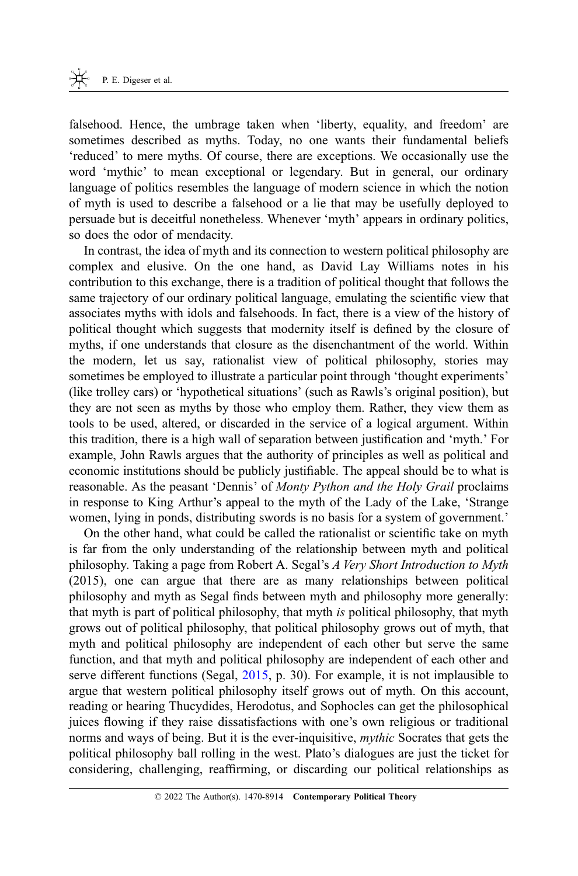falsehood. Hence, the umbrage taken when 'liberty, equality, and freedom' are sometimes described as myths. Today, no one wants their fundamental beliefs 'reduced' to mere myths. Of course, there are exceptions. We occasionally use the word 'mythic' to mean exceptional or legendary. But in general, our ordinary language of politics resembles the language of modern science in which the notion of myth is used to describe a falsehood or a lie that may be usefully deployed to persuade but is deceitful nonetheless. Whenever 'myth' appears in ordinary politics, so does the odor of mendacity.

In contrast, the idea of myth and its connection to western political philosophy are complex and elusive. On the one hand, as David Lay Williams notes in his contribution to this exchange, there is a tradition of political thought that follows the same trajectory of our ordinary political language, emulating the scientific view that associates myths with idols and falsehoods. In fact, there is a view of the history of political thought which suggests that modernity itself is defined by the closure of myths, if one understands that closure as the disenchantment of the world. Within the modern, let us say, rationalist view of political philosophy, stories may sometimes be employed to illustrate a particular point through 'thought experiments' (like trolley cars) or 'hypothetical situations' (such as Rawls's original position), but they are not seen as myths by those who employ them. Rather, they view them as tools to be used, altered, or discarded in the service of a logical argument. Within this tradition, there is a high wall of separation between justification and 'myth.' For example, John Rawls argues that the authority of principles as well as political and economic institutions should be publicly justifiable. The appeal should be to what is reasonable. As the peasant 'Dennis' of Monty Python and the Holy Grail proclaims in response to King Arthur's appeal to the myth of the Lady of the Lake, 'Strange women, lying in ponds, distributing swords is no basis for a system of government.'

On the other hand, what could be called the rationalist or scientific take on myth is far from the only understanding of the relationship between myth and political philosophy. Taking a page from Robert A. Segal's A Very Short Introduction to Myth (2015), one can argue that there are as many relationships between political philosophy and myth as Segal finds between myth and philosophy more generally: that myth is part of political philosophy, that myth is political philosophy, that myth grows out of political philosophy, that political philosophy grows out of myth, that myth and political philosophy are independent of each other but serve the same function, and that myth and political philosophy are independent of each other and serve different functions (Segal, [2015](#page-28-0), p. 30). For example, it is not implausible to argue that western political philosophy itself grows out of myth. On this account, reading or hearing Thucydides, Herodotus, and Sophocles can get the philosophical juices flowing if they raise dissatisfactions with one's own religious or traditional norms and ways of being. But it is the ever-inquisitive, mythic Socrates that gets the political philosophy ball rolling in the west. Plato's dialogues are just the ticket for considering, challenging, reaffirming, or discarding our political relationships as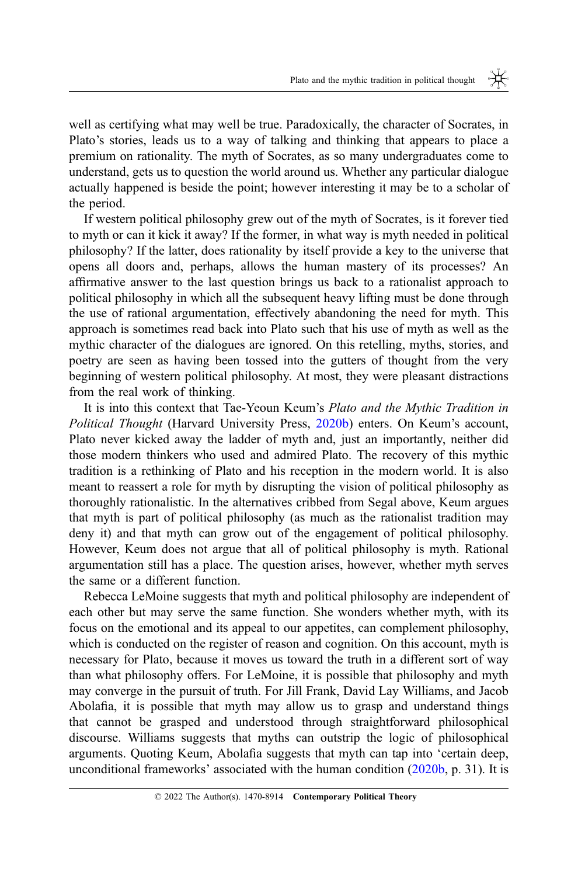well as certifying what may well be true. Paradoxically, the character of Socrates, in Plato's stories, leads us to a way of talking and thinking that appears to place a premium on rationality. The myth of Socrates, as so many undergraduates come to understand, gets us to question the world around us. Whether any particular dialogue actually happened is beside the point; however interesting it may be to a scholar of the period.

If western political philosophy grew out of the myth of Socrates, is it forever tied to myth or can it kick it away? If the former, in what way is myth needed in political philosophy? If the latter, does rationality by itself provide a key to the universe that opens all doors and, perhaps, allows the human mastery of its processes? An affirmative answer to the last question brings us back to a rationalist approach to political philosophy in which all the subsequent heavy lifting must be done through the use of rational argumentation, effectively abandoning the need for myth. This approach is sometimes read back into Plato such that his use of myth as well as the mythic character of the dialogues are ignored. On this retelling, myths, stories, and poetry are seen as having been tossed into the gutters of thought from the very beginning of western political philosophy. At most, they were pleasant distractions from the real work of thinking.

It is into this context that Tae-Yeoun Keum's Plato and the Mythic Tradition in Political Thought (Harvard University Press, [2020b](#page-27-0)) enters. On Keum's account, Plato never kicked away the ladder of myth and, just an importantly, neither did those modern thinkers who used and admired Plato. The recovery of this mythic tradition is a rethinking of Plato and his reception in the modern world. It is also meant to reassert a role for myth by disrupting the vision of political philosophy as thoroughly rationalistic. In the alternatives cribbed from Segal above, Keum argues that myth is part of political philosophy (as much as the rationalist tradition may deny it) and that myth can grow out of the engagement of political philosophy. However, Keum does not argue that all of political philosophy is myth. Rational argumentation still has a place. The question arises, however, whether myth serves the same or a different function.

Rebecca LeMoine suggests that myth and political philosophy are independent of each other but may serve the same function. She wonders whether myth, with its focus on the emotional and its appeal to our appetites, can complement philosophy, which is conducted on the register of reason and cognition. On this account, myth is necessary for Plato, because it moves us toward the truth in a different sort of way than what philosophy offers. For LeMoine, it is possible that philosophy and myth may converge in the pursuit of truth. For Jill Frank, David Lay Williams, and Jacob Abolafia, it is possible that myth may allow us to grasp and understand things that cannot be grasped and understood through straightforward philosophical discourse. Williams suggests that myths can outstrip the logic of philosophical arguments. Quoting Keum, Abolafia suggests that myth can tap into 'certain deep, unconditional frameworks' associated with the human condition [\(2020b](#page-27-0), p. 31). It is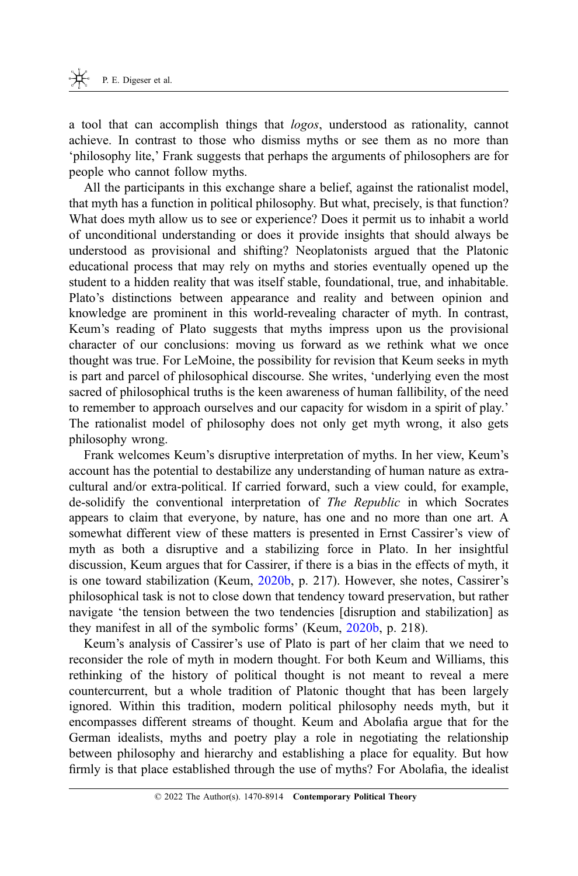a tool that can accomplish things that logos, understood as rationality, cannot achieve. In contrast to those who dismiss myths or see them as no more than 'philosophy lite,' Frank suggests that perhaps the arguments of philosophers are for people who cannot follow myths.

All the participants in this exchange share a belief, against the rationalist model, that myth has a function in political philosophy. But what, precisely, is that function? What does myth allow us to see or experience? Does it permit us to inhabit a world of unconditional understanding or does it provide insights that should always be understood as provisional and shifting? Neoplatonists argued that the Platonic educational process that may rely on myths and stories eventually opened up the student to a hidden reality that was itself stable, foundational, true, and inhabitable. Plato's distinctions between appearance and reality and between opinion and knowledge are prominent in this world-revealing character of myth. In contrast, Keum's reading of Plato suggests that myths impress upon us the provisional character of our conclusions: moving us forward as we rethink what we once thought was true. For LeMoine, the possibility for revision that Keum seeks in myth is part and parcel of philosophical discourse. She writes, 'underlying even the most sacred of philosophical truths is the keen awareness of human fallibility, of the need to remember to approach ourselves and our capacity for wisdom in a spirit of play.' The rationalist model of philosophy does not only get myth wrong, it also gets philosophy wrong.

Frank welcomes Keum's disruptive interpretation of myths. In her view, Keum's account has the potential to destabilize any understanding of human nature as extracultural and/or extra-political. If carried forward, such a view could, for example, de-solidify the conventional interpretation of The Republic in which Socrates appears to claim that everyone, by nature, has one and no more than one art. A somewhat different view of these matters is presented in Ernst Cassirer's view of myth as both a disruptive and a stabilizing force in Plato. In her insightful discussion, Keum argues that for Cassirer, if there is a bias in the effects of myth, it is one toward stabilization (Keum, [2020b](#page-27-0), p. 217). However, she notes, Cassirer's philosophical task is not to close down that tendency toward preservation, but rather navigate 'the tension between the two tendencies [disruption and stabilization] as they manifest in all of the symbolic forms' (Keum, [2020b](#page-27-0), p. 218).

Keum's analysis of Cassirer's use of Plato is part of her claim that we need to reconsider the role of myth in modern thought. For both Keum and Williams, this rethinking of the history of political thought is not meant to reveal a mere countercurrent, but a whole tradition of Platonic thought that has been largely ignored. Within this tradition, modern political philosophy needs myth, but it encompasses different streams of thought. Keum and Abolafia argue that for the German idealists, myths and poetry play a role in negotiating the relationship between philosophy and hierarchy and establishing a place for equality. But how firmly is that place established through the use of myths? For Abolafia, the idealist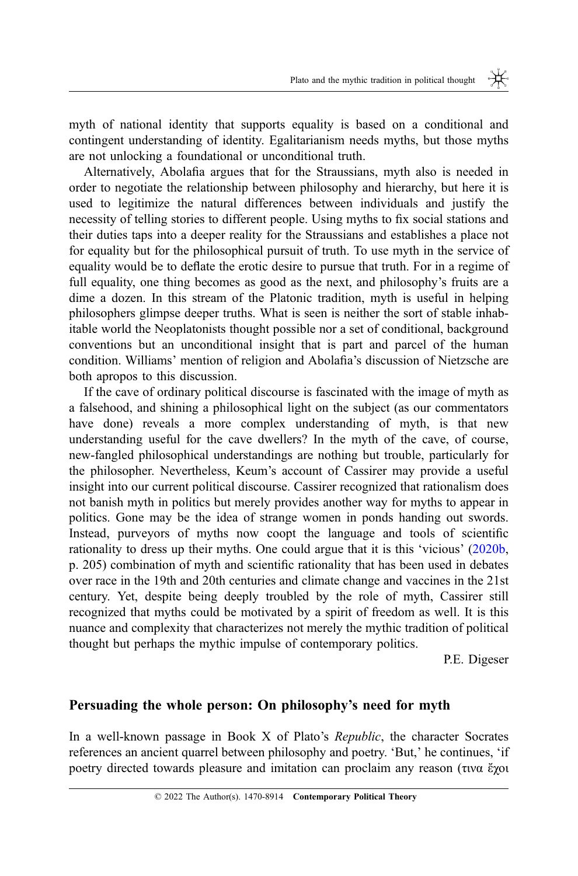myth of national identity that supports equality is based on a conditional and contingent understanding of identity. Egalitarianism needs myths, but those myths are not unlocking a foundational or unconditional truth.

Alternatively, Abolafia argues that for the Straussians, myth also is needed in order to negotiate the relationship between philosophy and hierarchy, but here it is used to legitimize the natural differences between individuals and justify the necessity of telling stories to different people. Using myths to fix social stations and their duties taps into a deeper reality for the Straussians and establishes a place not for equality but for the philosophical pursuit of truth. To use myth in the service of equality would be to deflate the erotic desire to pursue that truth. For in a regime of full equality, one thing becomes as good as the next, and philosophy's fruits are a dime a dozen. In this stream of the Platonic tradition, myth is useful in helping philosophers glimpse deeper truths. What is seen is neither the sort of stable inhabitable world the Neoplatonists thought possible nor a set of conditional, background conventions but an unconditional insight that is part and parcel of the human condition. Williams' mention of religion and Abolafia's discussion of Nietzsche are both apropos to this discussion.

If the cave of ordinary political discourse is fascinated with the image of myth as a falsehood, and shining a philosophical light on the subject (as our commentators have done) reveals a more complex understanding of myth, is that new understanding useful for the cave dwellers? In the myth of the cave, of course, new-fangled philosophical understandings are nothing but trouble, particularly for the philosopher. Nevertheless, Keum's account of Cassirer may provide a useful insight into our current political discourse. Cassirer recognized that rationalism does not banish myth in politics but merely provides another way for myths to appear in politics. Gone may be the idea of strange women in ponds handing out swords. Instead, purveyors of myths now coopt the language and tools of scientific rationality to dress up their myths. One could argue that it is this 'vicious' [\(2020b](#page-27-0), p. 205) combination of myth and scientific rationality that has been used in debates over race in the 19th and 20th centuries and climate change and vaccines in the 21st century. Yet, despite being deeply troubled by the role of myth, Cassirer still recognized that myths could be motivated by a spirit of freedom as well. It is this nuance and complexity that characterizes not merely the mythic tradition of political thought but perhaps the mythic impulse of contemporary politics.

P.E. Digeser

## Persuading the whole person: On philosophy's need for myth

In a well-known passage in Book X of Plato's Republic, the character Socrates references an ancient quarrel between philosophy and poetry. 'But,' he continues, 'if poetry directed towards pleasure and imitation can proclaim any reason (τινα ἔχοι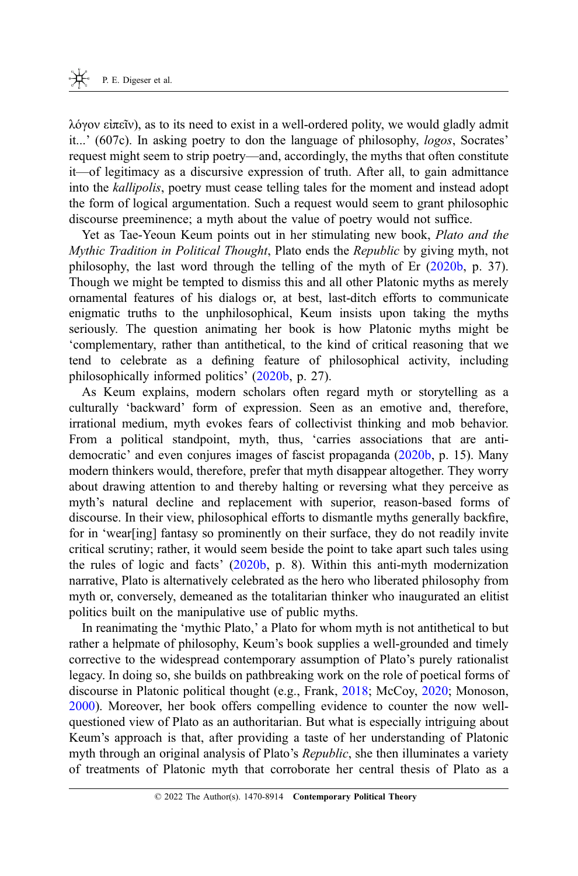λόγον εἰπεῖν), as to its need to exist in a well-ordered polity, we would gladly admit it...' (607c). In asking poetry to don the language of philosophy, logos, Socrates' request might seem to strip poetry—and, accordingly, the myths that often constitute it—of legitimacy as a discursive expression of truth. After all, to gain admittance into the kallipolis, poetry must cease telling tales for the moment and instead adopt the form of logical argumentation. Such a request would seem to grant philosophic discourse preeminence; a myth about the value of poetry would not suffice.

Yet as Tae-Yeoun Keum points out in her stimulating new book, Plato and the Mythic Tradition in Political Thought, Plato ends the Republic by giving myth, not philosophy, the last word through the telling of the myth of Er [\(2020b](#page-27-0), p. 37). Though we might be tempted to dismiss this and all other Platonic myths as merely ornamental features of his dialogs or, at best, last-ditch efforts to communicate enigmatic truths to the unphilosophical, Keum insists upon taking the myths seriously. The question animating her book is how Platonic myths might be 'complementary, rather than antithetical, to the kind of critical reasoning that we tend to celebrate as a defining feature of philosophical activity, including philosophically informed politics' [\(2020b](#page-27-0), p. 27).

As Keum explains, modern scholars often regard myth or storytelling as a culturally 'backward' form of expression. Seen as an emotive and, therefore, irrational medium, myth evokes fears of collectivist thinking and mob behavior. From a political standpoint, myth, thus, 'carries associations that are antidemocratic' and even conjures images of fascist propaganda [\(2020b](#page-27-0), p. 15). Many modern thinkers would, therefore, prefer that myth disappear altogether. They worry about drawing attention to and thereby halting or reversing what they perceive as myth's natural decline and replacement with superior, reason-based forms of discourse. In their view, philosophical efforts to dismantle myths generally backfire, for in 'wear[ing] fantasy so prominently on their surface, they do not readily invite critical scrutiny; rather, it would seem beside the point to take apart such tales using the rules of logic and facts' ([2020b,](#page-27-0) p. 8). Within this anti-myth modernization narrative, Plato is alternatively celebrated as the hero who liberated philosophy from myth or, conversely, demeaned as the totalitarian thinker who inaugurated an elitist politics built on the manipulative use of public myths.

In reanimating the 'mythic Plato,' a Plato for whom myth is not antithetical to but rather a helpmate of philosophy, Keum's book supplies a well-grounded and timely corrective to the widespread contemporary assumption of Plato's purely rationalist legacy. In doing so, she builds on pathbreaking work on the role of poetical forms of discourse in Platonic political thought (e.g., Frank, [2018](#page-27-0); McCoy, [2020;](#page-27-0) Monoson, [2000](#page-27-0)). Moreover, her book offers compelling evidence to counter the now wellquestioned view of Plato as an authoritarian. But what is especially intriguing about Keum's approach is that, after providing a taste of her understanding of Platonic myth through an original analysis of Plato's *Republic*, she then illuminates a variety of treatments of Platonic myth that corroborate her central thesis of Plato as a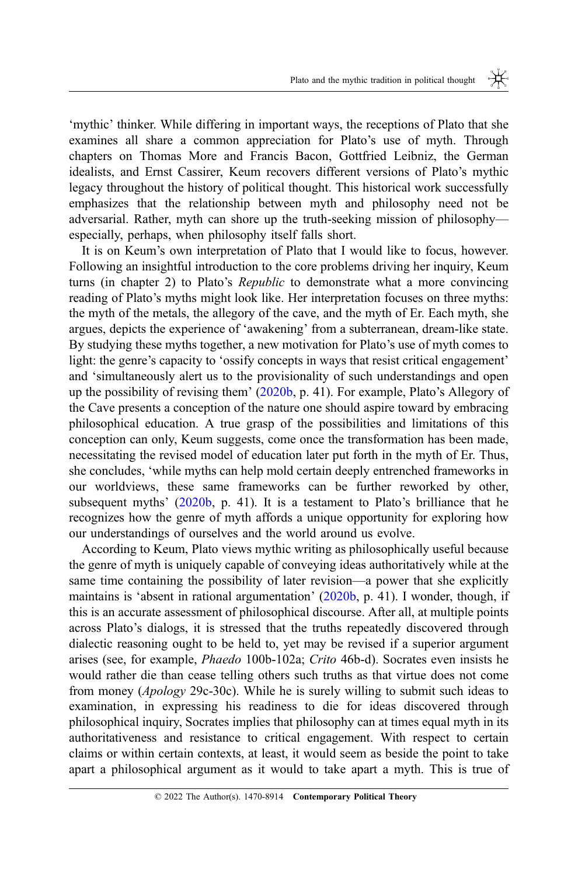'mythic' thinker. While differing in important ways, the receptions of Plato that she examines all share a common appreciation for Plato's use of myth. Through chapters on Thomas More and Francis Bacon, Gottfried Leibniz, the German idealists, and Ernst Cassirer, Keum recovers different versions of Plato's mythic legacy throughout the history of political thought. This historical work successfully emphasizes that the relationship between myth and philosophy need not be adversarial. Rather, myth can shore up the truth-seeking mission of philosophy especially, perhaps, when philosophy itself falls short.

It is on Keum's own interpretation of Plato that I would like to focus, however. Following an insightful introduction to the core problems driving her inquiry, Keum turns (in chapter 2) to Plato's Republic to demonstrate what a more convincing reading of Plato's myths might look like. Her interpretation focuses on three myths: the myth of the metals, the allegory of the cave, and the myth of Er. Each myth, she argues, depicts the experience of 'awakening' from a subterranean, dream-like state. By studying these myths together, a new motivation for Plato's use of myth comes to light: the genre's capacity to 'ossify concepts in ways that resist critical engagement' and 'simultaneously alert us to the provisionality of such understandings and open up the possibility of revising them' ([2020b,](#page-27-0) p. 41). For example, Plato's Allegory of the Cave presents a conception of the nature one should aspire toward by embracing philosophical education. A true grasp of the possibilities and limitations of this conception can only, Keum suggests, come once the transformation has been made, necessitating the revised model of education later put forth in the myth of Er. Thus, she concludes, 'while myths can help mold certain deeply entrenched frameworks in our worldviews, these same frameworks can be further reworked by other, subsequent myths' [\(2020b](#page-27-0), p. 41). It is a testament to Plato's brilliance that he recognizes how the genre of myth affords a unique opportunity for exploring how our understandings of ourselves and the world around us evolve.

According to Keum, Plato views mythic writing as philosophically useful because the genre of myth is uniquely capable of conveying ideas authoritatively while at the same time containing the possibility of later revision—a power that she explicitly maintains is 'absent in rational argumentation' [\(2020b,](#page-27-0) p. 41). I wonder, though, if this is an accurate assessment of philosophical discourse. After all, at multiple points across Plato's dialogs, it is stressed that the truths repeatedly discovered through dialectic reasoning ought to be held to, yet may be revised if a superior argument arises (see, for example, Phaedo 100b-102a; Crito 46b-d). Socrates even insists he would rather die than cease telling others such truths as that virtue does not come from money (Apology 29c-30c). While he is surely willing to submit such ideas to examination, in expressing his readiness to die for ideas discovered through philosophical inquiry, Socrates implies that philosophy can at times equal myth in its authoritativeness and resistance to critical engagement. With respect to certain claims or within certain contexts, at least, it would seem as beside the point to take apart a philosophical argument as it would to take apart a myth. This is true of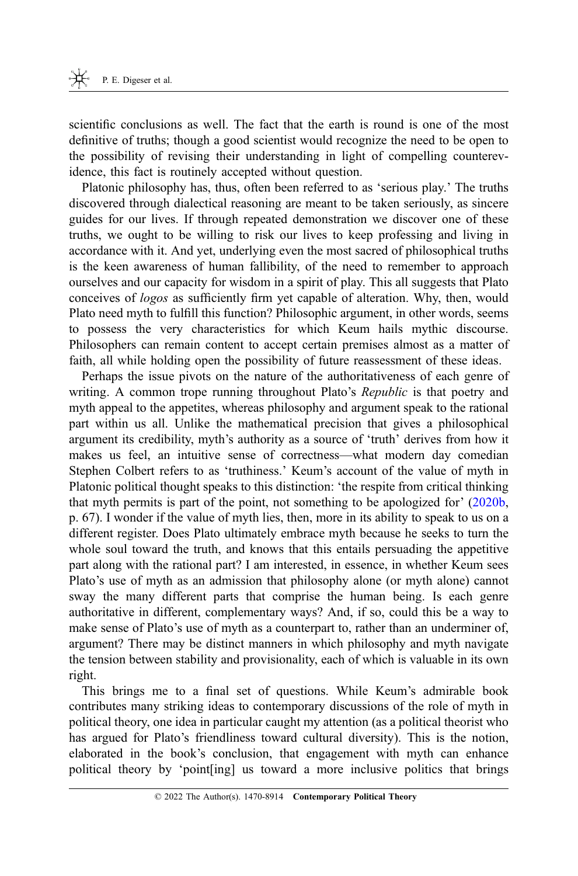scientific conclusions as well. The fact that the earth is round is one of the most definitive of truths; though a good scientist would recognize the need to be open to the possibility of revising their understanding in light of compelling counterevidence, this fact is routinely accepted without question.

Platonic philosophy has, thus, often been referred to as 'serious play.' The truths discovered through dialectical reasoning are meant to be taken seriously, as sincere guides for our lives. If through repeated demonstration we discover one of these truths, we ought to be willing to risk our lives to keep professing and living in accordance with it. And yet, underlying even the most sacred of philosophical truths is the keen awareness of human fallibility, of the need to remember to approach ourselves and our capacity for wisdom in a spirit of play. This all suggests that Plato conceives of logos as sufficiently firm yet capable of alteration. Why, then, would Plato need myth to fulfill this function? Philosophic argument, in other words, seems to possess the very characteristics for which Keum hails mythic discourse. Philosophers can remain content to accept certain premises almost as a matter of faith, all while holding open the possibility of future reassessment of these ideas.

Perhaps the issue pivots on the nature of the authoritativeness of each genre of writing. A common trope running throughout Plato's *Republic* is that poetry and myth appeal to the appetites, whereas philosophy and argument speak to the rational part within us all. Unlike the mathematical precision that gives a philosophical argument its credibility, myth's authority as a source of 'truth' derives from how it makes us feel, an intuitive sense of correctness—what modern day comedian Stephen Colbert refers to as 'truthiness.' Keum's account of the value of myth in Platonic political thought speaks to this distinction: 'the respite from critical thinking that myth permits is part of the point, not something to be apologized for' [\(2020b](#page-27-0), p. 67). I wonder if the value of myth lies, then, more in its ability to speak to us on a different register. Does Plato ultimately embrace myth because he seeks to turn the whole soul toward the truth, and knows that this entails persuading the appetitive part along with the rational part? I am interested, in essence, in whether Keum sees Plato's use of myth as an admission that philosophy alone (or myth alone) cannot sway the many different parts that comprise the human being. Is each genre authoritative in different, complementary ways? And, if so, could this be a way to make sense of Plato's use of myth as a counterpart to, rather than an underminer of, argument? There may be distinct manners in which philosophy and myth navigate the tension between stability and provisionality, each of which is valuable in its own right.

This brings me to a final set of questions. While Keum's admirable book contributes many striking ideas to contemporary discussions of the role of myth in political theory, one idea in particular caught my attention (as a political theorist who has argued for Plato's friendliness toward cultural diversity). This is the notion, elaborated in the book's conclusion, that engagement with myth can enhance political theory by 'point[ing] us toward a more inclusive politics that brings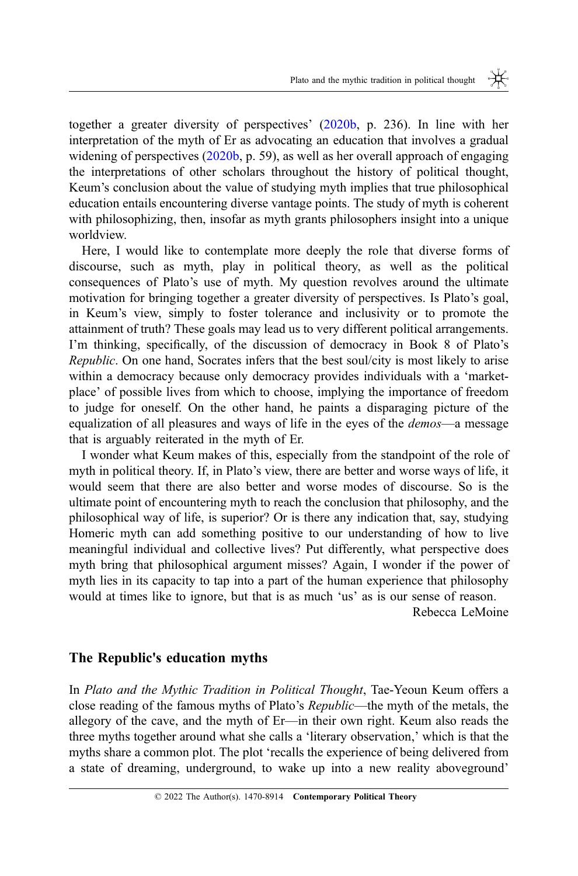together a greater diversity of perspectives' [\(2020b](#page-27-0), p. 236). In line with her interpretation of the myth of Er as advocating an education that involves a gradual widening of perspectives [\(2020b](#page-27-0), p. 59), as well as her overall approach of engaging the interpretations of other scholars throughout the history of political thought, Keum's conclusion about the value of studying myth implies that true philosophical education entails encountering diverse vantage points. The study of myth is coherent with philosophizing, then, insofar as myth grants philosophers insight into a unique worldview.

Here, I would like to contemplate more deeply the role that diverse forms of discourse, such as myth, play in political theory, as well as the political consequences of Plato's use of myth. My question revolves around the ultimate motivation for bringing together a greater diversity of perspectives. Is Plato's goal, in Keum's view, simply to foster tolerance and inclusivity or to promote the attainment of truth? These goals may lead us to very different political arrangements. I'm thinking, specifically, of the discussion of democracy in Book 8 of Plato's Republic. On one hand, Socrates infers that the best soul/city is most likely to arise within a democracy because only democracy provides individuals with a 'marketplace' of possible lives from which to choose, implying the importance of freedom to judge for oneself. On the other hand, he paints a disparaging picture of the equalization of all pleasures and ways of life in the eyes of the demos—a message that is arguably reiterated in the myth of Er.

I wonder what Keum makes of this, especially from the standpoint of the role of myth in political theory. If, in Plato's view, there are better and worse ways of life, it would seem that there are also better and worse modes of discourse. So is the ultimate point of encountering myth to reach the conclusion that philosophy, and the philosophical way of life, is superior? Or is there any indication that, say, studying Homeric myth can add something positive to our understanding of how to live meaningful individual and collective lives? Put differently, what perspective does myth bring that philosophical argument misses? Again, I wonder if the power of myth lies in its capacity to tap into a part of the human experience that philosophy would at times like to ignore, but that is as much 'us' as is our sense of reason.

Rebecca LeMoine

#### The Republic's education myths

In Plato and the Mythic Tradition in Political Thought, Tae-Yeoun Keum offers a close reading of the famous myths of Plato's Republic—the myth of the metals, the allegory of the cave, and the myth of Er—in their own right. Keum also reads the three myths together around what she calls a 'literary observation,' which is that the myths share a common plot. The plot 'recalls the experience of being delivered from a state of dreaming, underground, to wake up into a new reality aboveground'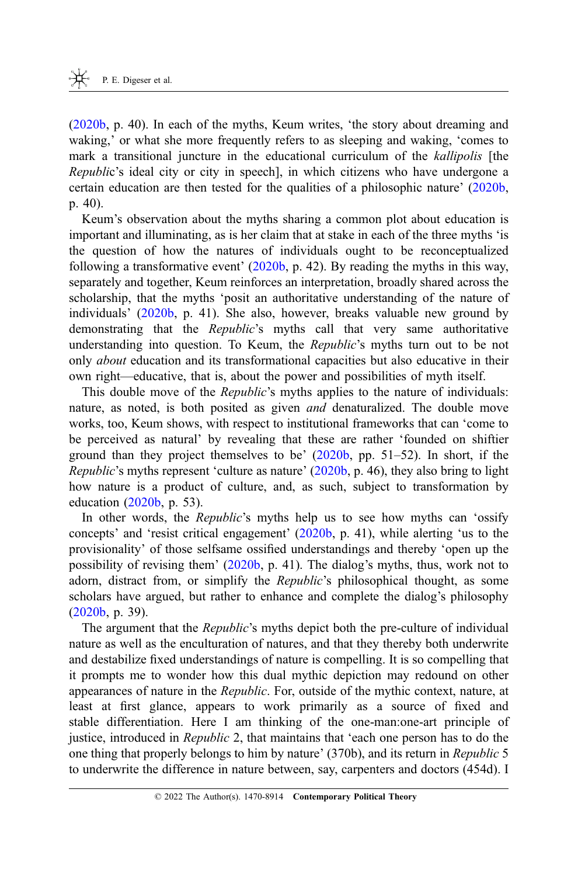([2020b,](#page-27-0) p. 40). In each of the myths, Keum writes, 'the story about dreaming and waking,' or what she more frequently refers to as sleeping and waking, 'comes to mark a transitional juncture in the educational curriculum of the *kallipolis* [the Republic's ideal city or city in speech], in which citizens who have undergone a certain education are then tested for the qualities of a philosophic nature' [\(2020b](#page-27-0), p. 40).

Keum's observation about the myths sharing a common plot about education is important and illuminating, as is her claim that at stake in each of the three myths 'is the question of how the natures of individuals ought to be reconceptualized following a transformative event'  $(2020b, p. 42)$  $(2020b, p. 42)$ . By reading the myths in this way, separately and together, Keum reinforces an interpretation, broadly shared across the scholarship, that the myths 'posit an authoritative understanding of the nature of individuals' [\(2020b](#page-27-0), p. 41). She also, however, breaks valuable new ground by demonstrating that the Republic's myths call that very same authoritative understanding into question. To Keum, the Republic's myths turn out to be not only about education and its transformational capacities but also educative in their own right—educative, that is, about the power and possibilities of myth itself.

This double move of the *Republic'*s myths applies to the nature of individuals: nature, as noted, is both posited as given and denaturalized. The double move works, too, Keum shows, with respect to institutional frameworks that can 'come to be perceived as natural' by revealing that these are rather 'founded on shiftier ground than they project themselves to be' ([2020b,](#page-27-0) pp. 51–52). In short, if the Republic's myths represent 'culture as nature' [\(2020b](#page-27-0), p. 46), they also bring to light how nature is a product of culture, and, as such, subject to transformation by education [\(2020b](#page-27-0), p. 53).

In other words, the *Republic's* myths help us to see how myths can 'ossify concepts' and 'resist critical engagement' ([2020b,](#page-27-0) p. 41), while alerting 'us to the provisionality' of those selfsame ossified understandings and thereby 'open up the possibility of revising them' [\(2020b](#page-27-0), p. 41). The dialog's myths, thus, work not to adorn, distract from, or simplify the *Republic's* philosophical thought, as some scholars have argued, but rather to enhance and complete the dialog's philosophy ([2020b,](#page-27-0) p. 39).

The argument that the *Republic's* myths depict both the pre-culture of individual nature as well as the enculturation of natures, and that they thereby both underwrite and destabilize fixed understandings of nature is compelling. It is so compelling that it prompts me to wonder how this dual mythic depiction may redound on other appearances of nature in the Republic. For, outside of the mythic context, nature, at least at first glance, appears to work primarily as a source of fixed and stable differentiation. Here I am thinking of the one-man:one-art principle of justice, introduced in *Republic* 2, that maintains that 'each one person has to do the one thing that properly belongs to him by nature' (370b), and its return in Republic 5 to underwrite the difference in nature between, say, carpenters and doctors (454d). I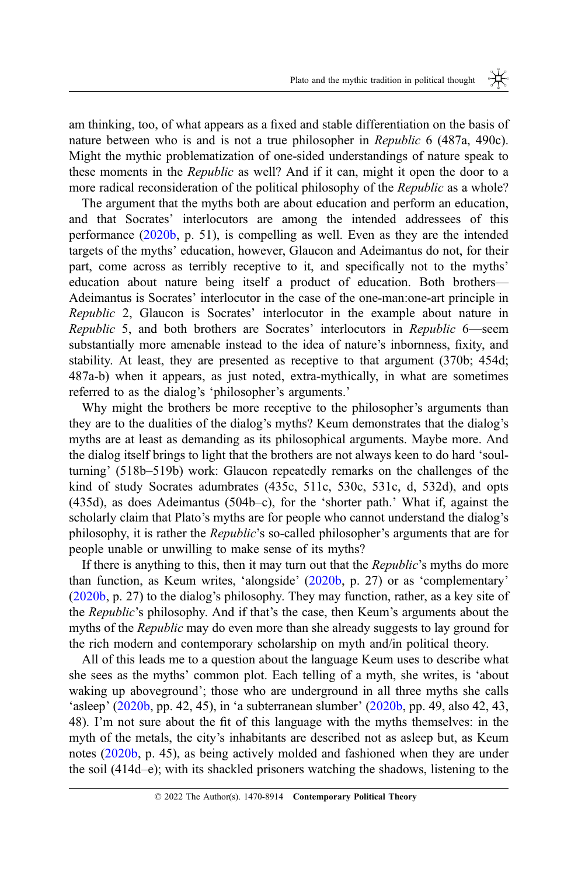am thinking, too, of what appears as a fixed and stable differentiation on the basis of nature between who is and is not a true philosopher in Republic 6 (487a, 490c). Might the mythic problematization of one-sided understandings of nature speak to these moments in the *Republic* as well? And if it can, might it open the door to a more radical reconsideration of the political philosophy of the Republic as a whole?

The argument that the myths both are about education and perform an education, and that Socrates' interlocutors are among the intended addressees of this performance [\(2020b](#page-27-0), p. 51), is compelling as well. Even as they are the intended targets of the myths' education, however, Glaucon and Adeimantus do not, for their part, come across as terribly receptive to it, and specifically not to the myths' education about nature being itself a product of education. Both brothers— Adeimantus is Socrates' interlocutor in the case of the one-man:one-art principle in Republic 2, Glaucon is Socrates' interlocutor in the example about nature in Republic 5, and both brothers are Socrates' interlocutors in Republic 6—seem substantially more amenable instead to the idea of nature's inbornness, fixity, and stability. At least, they are presented as receptive to that argument (370b; 454d; 487a-b) when it appears, as just noted, extra-mythically, in what are sometimes referred to as the dialog's 'philosopher's arguments.'

Why might the brothers be more receptive to the philosopher's arguments than they are to the dualities of the dialog's myths? Keum demonstrates that the dialog's myths are at least as demanding as its philosophical arguments. Maybe more. And the dialog itself brings to light that the brothers are not always keen to do hard 'soulturning' (518b–519b) work: Glaucon repeatedly remarks on the challenges of the kind of study Socrates adumbrates (435c, 511c, 530c, 531c, d, 532d), and opts (435d), as does Adeimantus (504b–c), for the 'shorter path.' What if, against the scholarly claim that Plato's myths are for people who cannot understand the dialog's philosophy, it is rather the Republic's so-called philosopher's arguments that are for people unable or unwilling to make sense of its myths?

If there is anything to this, then it may turn out that the Republic's myths do more than function, as Keum writes, 'alongside' ([2020b,](#page-27-0) p. 27) or as 'complementary' ([2020b,](#page-27-0) p. 27) to the dialog's philosophy. They may function, rather, as a key site of the Republic's philosophy. And if that's the case, then Keum's arguments about the myths of the *Republic* may do even more than she already suggests to lay ground for the rich modern and contemporary scholarship on myth and/in political theory.

All of this leads me to a question about the language Keum uses to describe what she sees as the myths' common plot. Each telling of a myth, she writes, is 'about waking up aboveground'; those who are underground in all three myths she calls 'asleep' [\(2020b](#page-27-0), pp. 42, 45), in 'a subterranean slumber' [\(2020b](#page-27-0), pp. 49, also 42, 43, 48). I'm not sure about the fit of this language with the myths themselves: in the myth of the metals, the city's inhabitants are described not as asleep but, as Keum notes ([2020b,](#page-27-0) p. 45), as being actively molded and fashioned when they are under the soil (414d–e); with its shackled prisoners watching the shadows, listening to the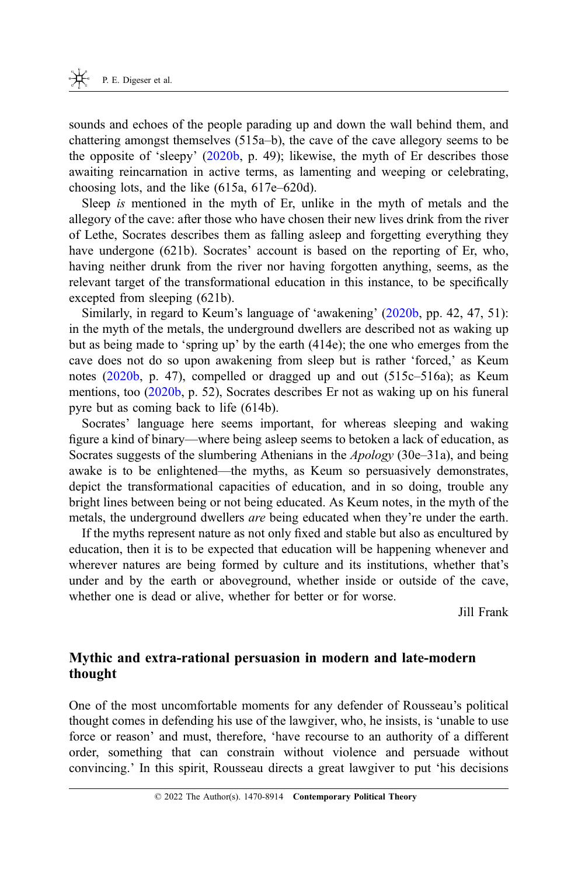sounds and echoes of the people parading up and down the wall behind them, and chattering amongst themselves (515a–b), the cave of the cave allegory seems to be the opposite of 'sleepy' [\(2020b](#page-27-0), p. 49); likewise, the myth of Er describes those awaiting reincarnation in active terms, as lamenting and weeping or celebrating, choosing lots, and the like (615a, 617e–620d).

Sleep is mentioned in the myth of Er, unlike in the myth of metals and the allegory of the cave: after those who have chosen their new lives drink from the river of Lethe, Socrates describes them as falling asleep and forgetting everything they have undergone (621b). Socrates' account is based on the reporting of Er, who, having neither drunk from the river nor having forgotten anything, seems, as the relevant target of the transformational education in this instance, to be specifically excepted from sleeping (621b).

Similarly, in regard to Keum's language of 'awakening' ([2020b,](#page-27-0) pp. 42, 47, 51): in the myth of the metals, the underground dwellers are described not as waking up but as being made to 'spring up' by the earth (414e); the one who emerges from the cave does not do so upon awakening from sleep but is rather 'forced,' as Keum notes [\(2020b](#page-27-0), p. 47), compelled or dragged up and out (515c–516a); as Keum mentions, too ([2020b,](#page-27-0) p. 52), Socrates describes Er not as waking up on his funeral pyre but as coming back to life (614b).

Socrates' language here seems important, for whereas sleeping and waking figure a kind of binary—where being asleep seems to betoken a lack of education, as Socrates suggests of the slumbering Athenians in the Apology (30e–31a), and being awake is to be enlightened—the myths, as Keum so persuasively demonstrates, depict the transformational capacities of education, and in so doing, trouble any bright lines between being or not being educated. As Keum notes, in the myth of the metals, the underground dwellers *are* being educated when they're under the earth.

If the myths represent nature as not only fixed and stable but also as encultured by education, then it is to be expected that education will be happening whenever and wherever natures are being formed by culture and its institutions, whether that's under and by the earth or aboveground, whether inside or outside of the cave, whether one is dead or alive, whether for better or for worse.

Jill Frank

## Mythic and extra-rational persuasion in modern and late-modern thought

One of the most uncomfortable moments for any defender of Rousseau's political thought comes in defending his use of the lawgiver, who, he insists, is 'unable to use force or reason' and must, therefore, 'have recourse to an authority of a different order, something that can constrain without violence and persuade without convincing.' In this spirit, Rousseau directs a great lawgiver to put 'his decisions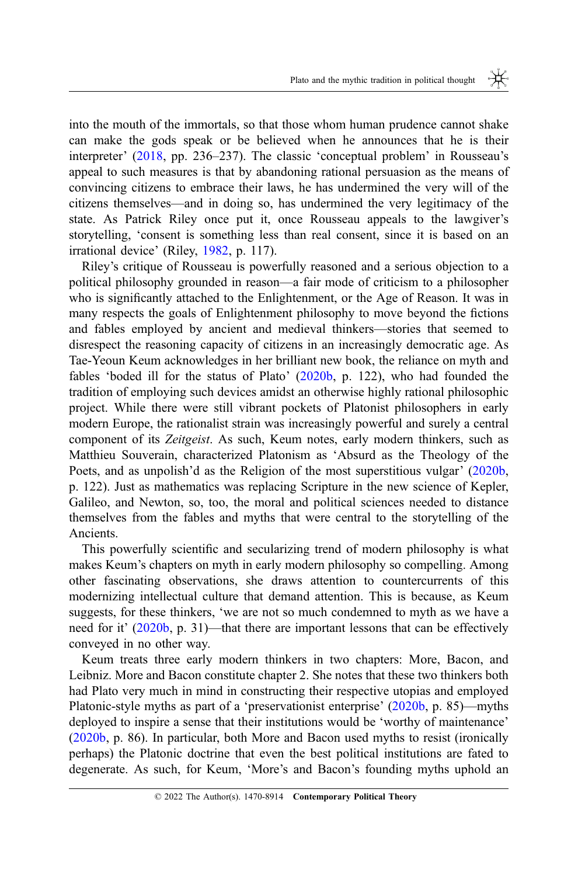into the mouth of the immortals, so that those whom human prudence cannot shake can make the gods speak or be believed when he announces that he is their interpreter' ([2018,](#page-27-0) pp. 236–237). The classic 'conceptual problem' in Rousseau's appeal to such measures is that by abandoning rational persuasion as the means of convincing citizens to embrace their laws, he has undermined the very will of the citizens themselves—and in doing so, has undermined the very legitimacy of the state. As Patrick Riley once put it, once Rousseau appeals to the lawgiver's storytelling, 'consent is something less than real consent, since it is based on an irrational device' (Riley, [1982,](#page-27-0) p. 117).

Riley's critique of Rousseau is powerfully reasoned and a serious objection to a political philosophy grounded in reason—a fair mode of criticism to a philosopher who is significantly attached to the Enlightenment, or the Age of Reason. It was in many respects the goals of Enlightenment philosophy to move beyond the fictions and fables employed by ancient and medieval thinkers—stories that seemed to disrespect the reasoning capacity of citizens in an increasingly democratic age. As Tae-Yeoun Keum acknowledges in her brilliant new book, the reliance on myth and fables 'boded ill for the status of Plato' [\(2020b](#page-27-0), p. 122), who had founded the tradition of employing such devices amidst an otherwise highly rational philosophic project. While there were still vibrant pockets of Platonist philosophers in early modern Europe, the rationalist strain was increasingly powerful and surely a central component of its Zeitgeist. As such, Keum notes, early modern thinkers, such as Matthieu Souverain, characterized Platonism as 'Absurd as the Theology of the Poets, and as unpolish'd as the Religion of the most superstitious vulgar' [\(2020b](#page-27-0), p. 122). Just as mathematics was replacing Scripture in the new science of Kepler, Galileo, and Newton, so, too, the moral and political sciences needed to distance themselves from the fables and myths that were central to the storytelling of the Ancients.

This powerfully scientific and secularizing trend of modern philosophy is what makes Keum's chapters on myth in early modern philosophy so compelling. Among other fascinating observations, she draws attention to countercurrents of this modernizing intellectual culture that demand attention. This is because, as Keum suggests, for these thinkers, 'we are not so much condemned to myth as we have a need for it' ([2020b,](#page-27-0) p. 31)—that there are important lessons that can be effectively conveyed in no other way.

Keum treats three early modern thinkers in two chapters: More, Bacon, and Leibniz. More and Bacon constitute chapter 2. She notes that these two thinkers both had Plato very much in mind in constructing their respective utopias and employed Platonic-style myths as part of a 'preservationist enterprise' [\(2020b](#page-27-0), p. 85)—myths deployed to inspire a sense that their institutions would be 'worthy of maintenance' ([2020b,](#page-27-0) p. 86). In particular, both More and Bacon used myths to resist (ironically perhaps) the Platonic doctrine that even the best political institutions are fated to degenerate. As such, for Keum, 'More's and Bacon's founding myths uphold an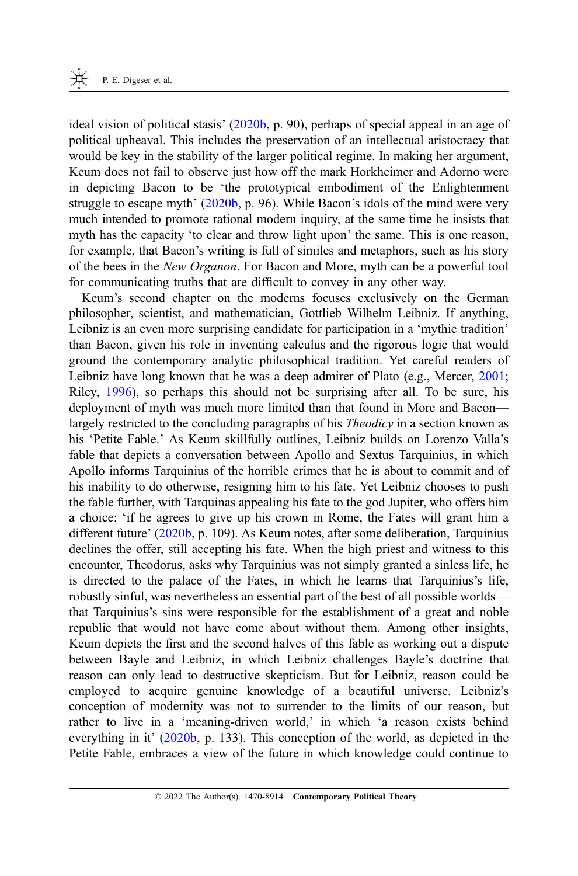ideal vision of political stasis'  $(2020b, p. 90)$  $(2020b, p. 90)$  $(2020b, p. 90)$ , perhaps of special appeal in an age of political upheaval. This includes the preservation of an intellectual aristocracy that would be key in the stability of the larger political regime. In making her argument, Keum does not fail to observe just how off the mark Horkheimer and Adorno were in depicting Bacon to be 'the prototypical embodiment of the Enlightenment struggle to escape myth' [\(2020b](#page-27-0), p. 96). While Bacon's idols of the mind were very much intended to promote rational modern inquiry, at the same time he insists that myth has the capacity 'to clear and throw light upon' the same. This is one reason, for example, that Bacon's writing is full of similes and metaphors, such as his story of the bees in the New Organon. For Bacon and More, myth can be a powerful tool for communicating truths that are difficult to convey in any other way.

Keum's second chapter on the moderns focuses exclusively on the German philosopher, scientist, and mathematician, Gottlieb Wilhelm Leibniz. If anything, Leibniz is an even more surprising candidate for participation in a 'mythic tradition' than Bacon, given his role in inventing calculus and the rigorous logic that would ground the contemporary analytic philosophical tradition. Yet careful readers of Leibniz have long known that he was a deep admirer of Plato (e.g., Mercer, [2001](#page-27-0); Riley, [1996](#page-27-0)), so perhaps this should not be surprising after all. To be sure, his deployment of myth was much more limited than that found in More and Bacon largely restricted to the concluding paragraphs of his *Theodicy* in a section known as his 'Petite Fable.' As Keum skillfully outlines, Leibniz builds on Lorenzo Valla's fable that depicts a conversation between Apollo and Sextus Tarquinius, in which Apollo informs Tarquinius of the horrible crimes that he is about to commit and of his inability to do otherwise, resigning him to his fate. Yet Leibniz chooses to push the fable further, with Tarquinas appealing his fate to the god Jupiter, who offers him a choice: 'if he agrees to give up his crown in Rome, the Fates will grant him a different future' ([2020b,](#page-27-0) p. 109). As Keum notes, after some deliberation, Tarquinius declines the offer, still accepting his fate. When the high priest and witness to this encounter, Theodorus, asks why Tarquinius was not simply granted a sinless life, he is directed to the palace of the Fates, in which he learns that Tarquinius's life, robustly sinful, was nevertheless an essential part of the best of all possible worlds that Tarquinius's sins were responsible for the establishment of a great and noble republic that would not have come about without them. Among other insights, Keum depicts the first and the second halves of this fable as working out a dispute between Bayle and Leibniz, in which Leibniz challenges Bayle's doctrine that reason can only lead to destructive skepticism. But for Leibniz, reason could be employed to acquire genuine knowledge of a beautiful universe. Leibniz's conception of modernity was not to surrender to the limits of our reason, but rather to live in a 'meaning-driven world,' in which 'a reason exists behind everything in it' ([2020b,](#page-27-0) p. 133). This conception of the world, as depicted in the Petite Fable, embraces a view of the future in which knowledge could continue to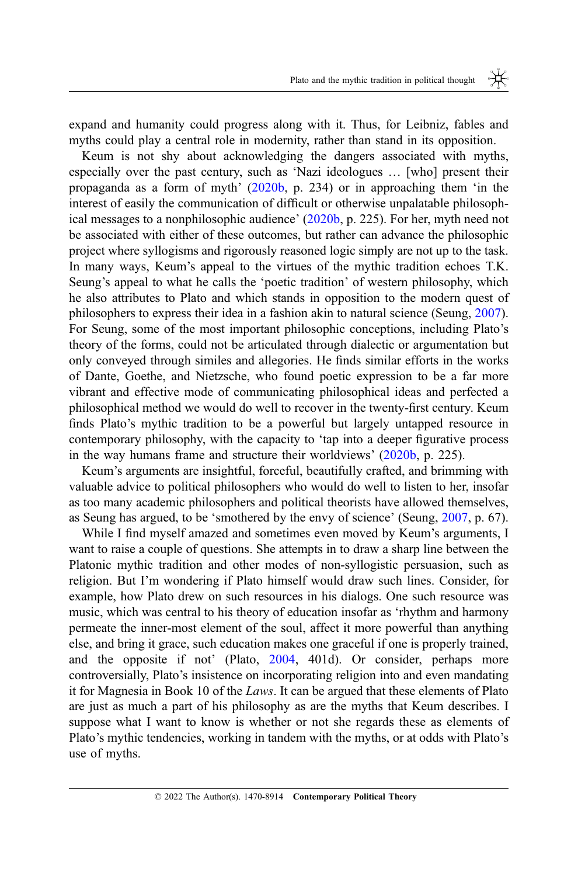expand and humanity could progress along with it. Thus, for Leibniz, fables and myths could play a central role in modernity, rather than stand in its opposition.

Keum is not shy about acknowledging the dangers associated with myths, especially over the past century, such as 'Nazi ideologues … [who] present their propaganda as a form of myth'  $(2020b, p. 234)$  $(2020b, p. 234)$  $(2020b, p. 234)$  or in approaching them 'in the interest of easily the communication of difficult or otherwise unpalatable philosophical messages to a nonphilosophic audience' ([2020b,](#page-27-0) p. 225). For her, myth need not be associated with either of these outcomes, but rather can advance the philosophic project where syllogisms and rigorously reasoned logic simply are not up to the task. In many ways, Keum's appeal to the virtues of the mythic tradition echoes T.K. Seung's appeal to what he calls the 'poetic tradition' of western philosophy, which he also attributes to Plato and which stands in opposition to the modern quest of philosophers to express their idea in a fashion akin to natural science (Seung, [2007](#page-28-0)). For Seung, some of the most important philosophic conceptions, including Plato's theory of the forms, could not be articulated through dialectic or argumentation but only conveyed through similes and allegories. He finds similar efforts in the works of Dante, Goethe, and Nietzsche, who found poetic expression to be a far more vibrant and effective mode of communicating philosophical ideas and perfected a philosophical method we would do well to recover in the twenty-first century. Keum finds Plato's mythic tradition to be a powerful but largely untapped resource in contemporary philosophy, with the capacity to 'tap into a deeper figurative process in the way humans frame and structure their worldviews' ([2020b,](#page-27-0) p. 225).

Keum's arguments are insightful, forceful, beautifully crafted, and brimming with valuable advice to political philosophers who would do well to listen to her, insofar as too many academic philosophers and political theorists have allowed themselves, as Seung has argued, to be 'smothered by the envy of science' (Seung, [2007,](#page-28-0) p. 67).

While I find myself amazed and sometimes even moved by Keum's arguments, I want to raise a couple of questions. She attempts in to draw a sharp line between the Platonic mythic tradition and other modes of non-syllogistic persuasion, such as religion. But I'm wondering if Plato himself would draw such lines. Consider, for example, how Plato drew on such resources in his dialogs. One such resource was music, which was central to his theory of education insofar as 'rhythm and harmony permeate the inner-most element of the soul, affect it more powerful than anything else, and bring it grace, such education makes one graceful if one is properly trained, and the opposite if not' (Plato, [2004,](#page-27-0) 401d). Or consider, perhaps more controversially, Plato's insistence on incorporating religion into and even mandating it for Magnesia in Book 10 of the Laws. It can be argued that these elements of Plato are just as much a part of his philosophy as are the myths that Keum describes. I suppose what I want to know is whether or not she regards these as elements of Plato's mythic tendencies, working in tandem with the myths, or at odds with Plato's use of myths.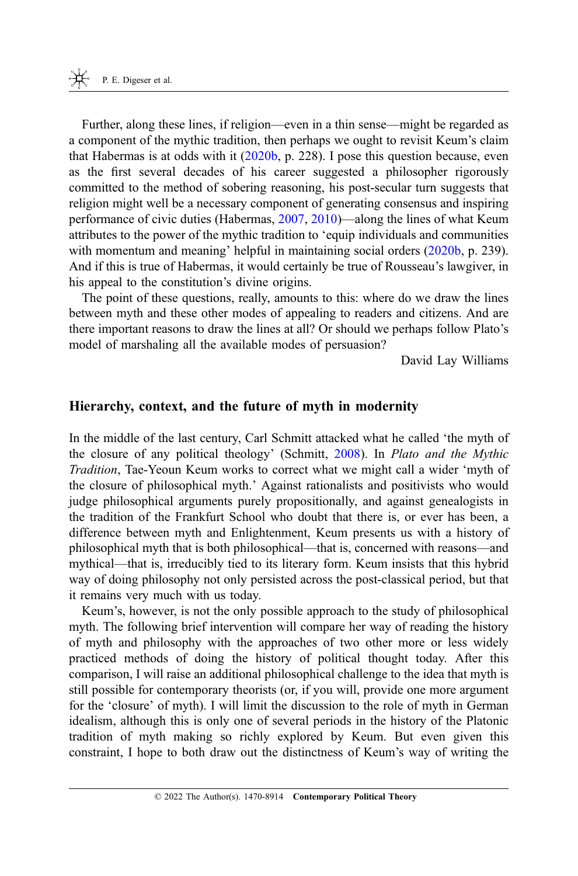Further, along these lines, if religion—even in a thin sense—might be regarded as a component of the mythic tradition, then perhaps we ought to revisit Keum's claim that Habermas is at odds with it  $(2020b, p. 228)$  $(2020b, p. 228)$ . I pose this question because, even as the first several decades of his career suggested a philosopher rigorously committed to the method of sobering reasoning, his post-secular turn suggests that religion might well be a necessary component of generating consensus and inspiring performance of civic duties (Habermas, [2007,](#page-27-0) [2010\)](#page-27-0)—along the lines of what Keum attributes to the power of the mythic tradition to 'equip individuals and communities with momentum and meaning' helpful in maintaining social orders ([2020b,](#page-27-0) p. 239). And if this is true of Habermas, it would certainly be true of Rousseau's lawgiver, in his appeal to the constitution's divine origins.

The point of these questions, really, amounts to this: where do we draw the lines between myth and these other modes of appealing to readers and citizens. And are there important reasons to draw the lines at all? Or should we perhaps follow Plato's model of marshaling all the available modes of persuasion?

David Lay Williams

#### Hierarchy, context, and the future of myth in modernity

In the middle of the last century, Carl Schmitt attacked what he called 'the myth of the closure of any political theology' (Schmitt, [2008](#page-28-0)). In Plato and the Mythic Tradition, Tae-Yeoun Keum works to correct what we might call a wider 'myth of the closure of philosophical myth.' Against rationalists and positivists who would judge philosophical arguments purely propositionally, and against genealogists in the tradition of the Frankfurt School who doubt that there is, or ever has been, a difference between myth and Enlightenment, Keum presents us with a history of philosophical myth that is both philosophical—that is, concerned with reasons—and mythical—that is, irreducibly tied to its literary form. Keum insists that this hybrid way of doing philosophy not only persisted across the post-classical period, but that it remains very much with us today.

Keum's, however, is not the only possible approach to the study of philosophical myth. The following brief intervention will compare her way of reading the history of myth and philosophy with the approaches of two other more or less widely practiced methods of doing the history of political thought today. After this comparison, I will raise an additional philosophical challenge to the idea that myth is still possible for contemporary theorists (or, if you will, provide one more argument for the 'closure' of myth). I will limit the discussion to the role of myth in German idealism, although this is only one of several periods in the history of the Platonic tradition of myth making so richly explored by Keum. But even given this constraint, I hope to both draw out the distinctness of Keum's way of writing the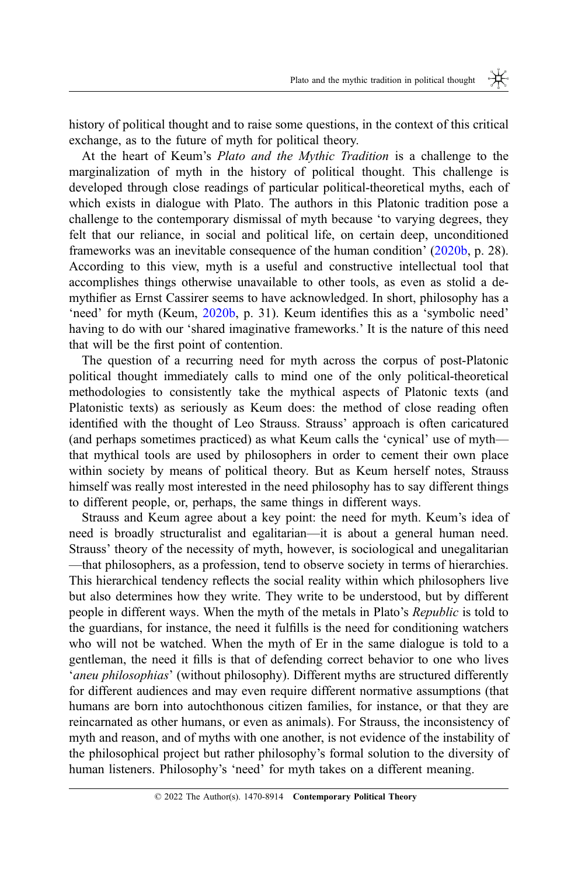history of political thought and to raise some questions, in the context of this critical exchange, as to the future of myth for political theory.

At the heart of Keum's Plato and the Mythic Tradition is a challenge to the marginalization of myth in the history of political thought. This challenge is developed through close readings of particular political-theoretical myths, each of which exists in dialogue with Plato. The authors in this Platonic tradition pose a challenge to the contemporary dismissal of myth because 'to varying degrees, they felt that our reliance, in social and political life, on certain deep, unconditioned frameworks was an inevitable consequence of the human condition' ([2020b,](#page-27-0) p. 28). According to this view, myth is a useful and constructive intellectual tool that accomplishes things otherwise unavailable to other tools, as even as stolid a demythifier as Ernst Cassirer seems to have acknowledged. In short, philosophy has a 'need' for myth (Keum, [2020b](#page-27-0), p. 31). Keum identifies this as a 'symbolic need' having to do with our 'shared imaginative frameworks.' It is the nature of this need that will be the first point of contention.

The question of a recurring need for myth across the corpus of post-Platonic political thought immediately calls to mind one of the only political-theoretical methodologies to consistently take the mythical aspects of Platonic texts (and Platonistic texts) as seriously as Keum does: the method of close reading often identified with the thought of Leo Strauss. Strauss' approach is often caricatured (and perhaps sometimes practiced) as what Keum calls the 'cynical' use of myth that mythical tools are used by philosophers in order to cement their own place within society by means of political theory. But as Keum herself notes, Strauss himself was really most interested in the need philosophy has to say different things to different people, or, perhaps, the same things in different ways.

Strauss and Keum agree about a key point: the need for myth. Keum's idea of need is broadly structuralist and egalitarian—it is about a general human need. Strauss' theory of the necessity of myth, however, is sociological and unegalitarian —that philosophers, as a profession, tend to observe society in terms of hierarchies. This hierarchical tendency reflects the social reality within which philosophers live but also determines how they write. They write to be understood, but by different people in different ways. When the myth of the metals in Plato's Republic is told to the guardians, for instance, the need it fulfills is the need for conditioning watchers who will not be watched. When the myth of Er in the same dialogue is told to a gentleman, the need it fills is that of defending correct behavior to one who lives 'aneu philosophias' (without philosophy). Different myths are structured differently for different audiences and may even require different normative assumptions (that humans are born into autochthonous citizen families, for instance, or that they are reincarnated as other humans, or even as animals). For Strauss, the inconsistency of myth and reason, and of myths with one another, is not evidence of the instability of the philosophical project but rather philosophy's formal solution to the diversity of human listeners. Philosophy's 'need' for myth takes on a different meaning.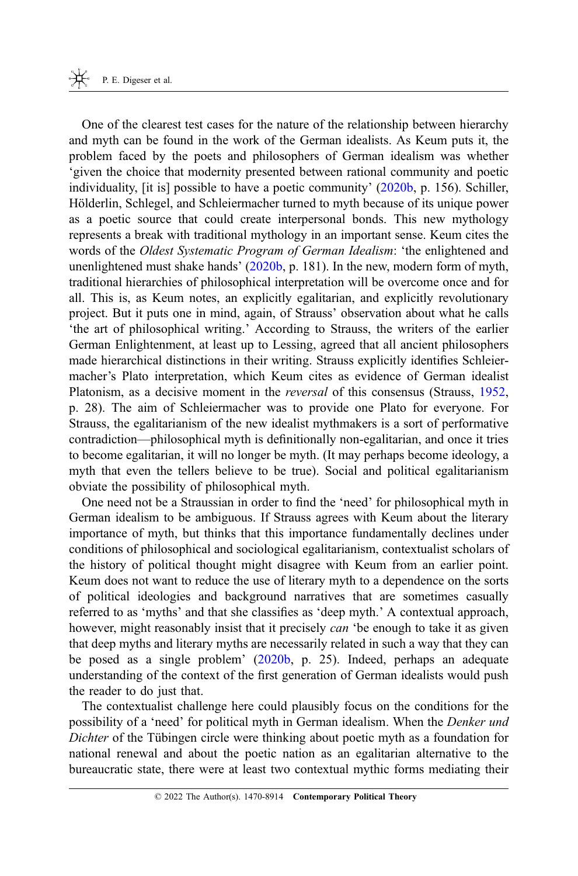One of the clearest test cases for the nature of the relationship between hierarchy and myth can be found in the work of the German idealists. As Keum puts it, the problem faced by the poets and philosophers of German idealism was whether 'given the choice that modernity presented between rational community and poetic individuality, [it is] possible to have a poetic community' [\(2020b](#page-27-0), p. 156). Schiller, Hölderlin, Schlegel, and Schleiermacher turned to myth because of its unique power as a poetic source that could create interpersonal bonds. This new mythology represents a break with traditional mythology in an important sense. Keum cites the words of the Oldest Systematic Program of German Idealism: 'the enlightened and unenlightened must shake hands' ([2020b,](#page-27-0) p. 181). In the new, modern form of myth, traditional hierarchies of philosophical interpretation will be overcome once and for all. This is, as Keum notes, an explicitly egalitarian, and explicitly revolutionary project. But it puts one in mind, again, of Strauss' observation about what he calls 'the art of philosophical writing.' According to Strauss, the writers of the earlier German Enlightenment, at least up to Lessing, agreed that all ancient philosophers made hierarchical distinctions in their writing. Strauss explicitly identifies Schleiermacher's Plato interpretation, which Keum cites as evidence of German idealist Platonism, as a decisive moment in the *reversal* of this consensus (Strauss, [1952](#page-28-0), p. 28). The aim of Schleiermacher was to provide one Plato for everyone. For Strauss, the egalitarianism of the new idealist mythmakers is a sort of performative contradiction—philosophical myth is definitionally non-egalitarian, and once it tries to become egalitarian, it will no longer be myth. (It may perhaps become ideology, a myth that even the tellers believe to be true). Social and political egalitarianism obviate the possibility of philosophical myth.

One need not be a Straussian in order to find the 'need' for philosophical myth in German idealism to be ambiguous. If Strauss agrees with Keum about the literary importance of myth, but thinks that this importance fundamentally declines under conditions of philosophical and sociological egalitarianism, contextualist scholars of the history of political thought might disagree with Keum from an earlier point. Keum does not want to reduce the use of literary myth to a dependence on the sorts of political ideologies and background narratives that are sometimes casually referred to as 'myths' and that she classifies as 'deep myth.' A contextual approach, however, might reasonably insist that it precisely *can* 'be enough to take it as given that deep myths and literary myths are necessarily related in such a way that they can be posed as a single problem' [\(2020b](#page-27-0), p. 25). Indeed, perhaps an adequate understanding of the context of the first generation of German idealists would push the reader to do just that.

The contextualist challenge here could plausibly focus on the conditions for the possibility of a 'need' for political myth in German idealism. When the Denker und Dichter of the Tübingen circle were thinking about poetic myth as a foundation for national renewal and about the poetic nation as an egalitarian alternative to the bureaucratic state, there were at least two contextual mythic forms mediating their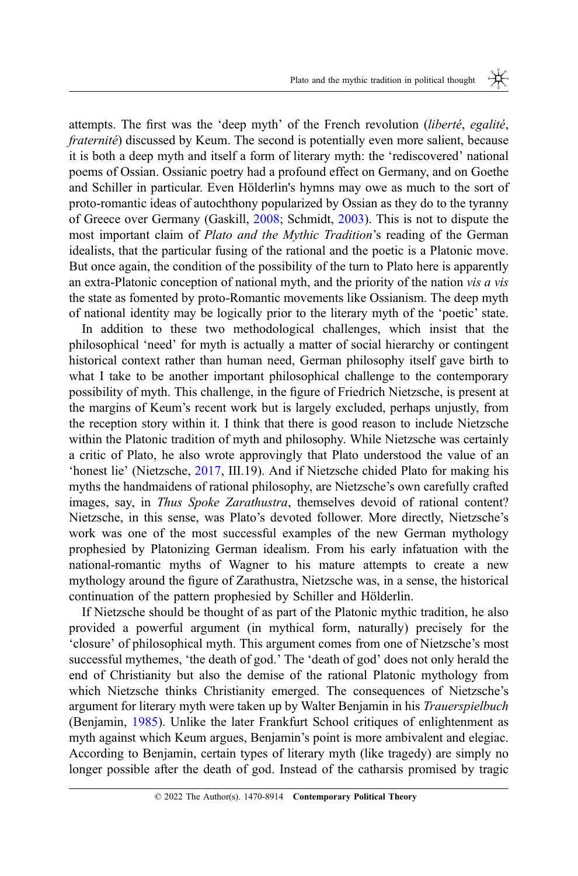attempts. The first was the 'deep myth' of the French revolution (liberté, egalité, fraternité) discussed by Keum. The second is potentially even more salient, because it is both a deep myth and itself a form of literary myth: the 'rediscovered' national poems of Ossian. Ossianic poetry had a profound effect on Germany, and on Goethe and Schiller in particular. Even Hölderlin's hymns may owe as much to the sort of proto-romantic ideas of autochthony popularized by Ossian as they do to the tyranny of Greece over Germany (Gaskill, [2008;](#page-27-0) Schmidt, [2003](#page-27-0)). This is not to dispute the most important claim of Plato and the Mythic Tradition's reading of the German idealists, that the particular fusing of the rational and the poetic is a Platonic move. But once again, the condition of the possibility of the turn to Plato here is apparently an extra-Platonic conception of national myth, and the priority of the nation vis a vis the state as fomented by proto-Romantic movements like Ossianism. The deep myth of national identity may be logically prior to the literary myth of the 'poetic' state.

In addition to these two methodological challenges, which insist that the philosophical 'need' for myth is actually a matter of social hierarchy or contingent historical context rather than human need, German philosophy itself gave birth to what I take to be another important philosophical challenge to the contemporary possibility of myth. This challenge, in the figure of Friedrich Nietzsche, is present at the margins of Keum's recent work but is largely excluded, perhaps unjustly, from the reception story within it. I think that there is good reason to include Nietzsche within the Platonic tradition of myth and philosophy. While Nietzsche was certainly a critic of Plato, he also wrote approvingly that Plato understood the value of an 'honest lie' (Nietzsche, [2017](#page-27-0), III.19). And if Nietzsche chided Plato for making his myths the handmaidens of rational philosophy, are Nietzsche's own carefully crafted images, say, in Thus Spoke Zarathustra, themselves devoid of rational content? Nietzsche, in this sense, was Plato's devoted follower. More directly, Nietzsche's work was one of the most successful examples of the new German mythology prophesied by Platonizing German idealism. From his early infatuation with the national-romantic myths of Wagner to his mature attempts to create a new mythology around the figure of Zarathustra, Nietzsche was, in a sense, the historical continuation of the pattern prophesied by Schiller and Hölderlin.

If Nietzsche should be thought of as part of the Platonic mythic tradition, he also provided a powerful argument (in mythical form, naturally) precisely for the 'closure' of philosophical myth. This argument comes from one of Nietzsche's most successful mythemes, 'the death of god.' The 'death of god' does not only herald the end of Christianity but also the demise of the rational Platonic mythology from which Nietzsche thinks Christianity emerged. The consequences of Nietzsche's argument for literary myth were taken up by Walter Benjamin in his Trauerspielbuch (Benjamin, [1985](#page-26-0)). Unlike the later Frankfurt School critiques of enlightenment as myth against which Keum argues, Benjamin's point is more ambivalent and elegiac. According to Benjamin, certain types of literary myth (like tragedy) are simply no longer possible after the death of god. Instead of the catharsis promised by tragic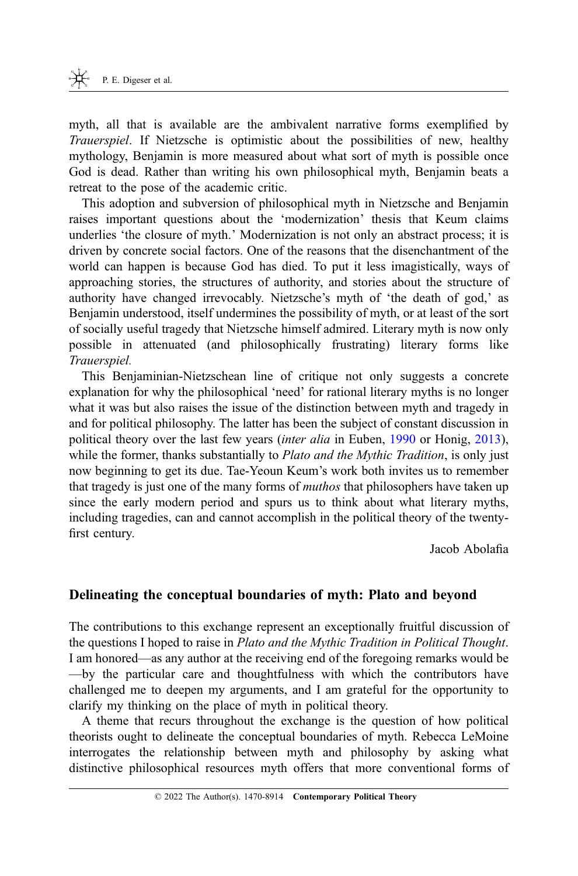myth, all that is available are the ambivalent narrative forms exemplified by Trauerspiel. If Nietzsche is optimistic about the possibilities of new, healthy mythology, Benjamin is more measured about what sort of myth is possible once God is dead. Rather than writing his own philosophical myth, Benjamin beats a retreat to the pose of the academic critic.

This adoption and subversion of philosophical myth in Nietzsche and Benjamin raises important questions about the 'modernization' thesis that Keum claims underlies 'the closure of myth.' Modernization is not only an abstract process; it is driven by concrete social factors. One of the reasons that the disenchantment of the world can happen is because God has died. To put it less imagistically, ways of approaching stories, the structures of authority, and stories about the structure of authority have changed irrevocably. Nietzsche's myth of 'the death of god,' as Benjamin understood, itself undermines the possibility of myth, or at least of the sort of socially useful tragedy that Nietzsche himself admired. Literary myth is now only possible in attenuated (and philosophically frustrating) literary forms like Trauerspiel.

This Benjaminian-Nietzschean line of critique not only suggests a concrete explanation for why the philosophical 'need' for rational literary myths is no longer what it was but also raises the issue of the distinction between myth and tragedy in and for political philosophy. The latter has been the subject of constant discussion in political theory over the last few years (inter alia in Euben, [1990](#page-27-0) or Honig, [2013](#page-27-0)), while the former, thanks substantially to *Plato and the Mythic Tradition*, is only just now beginning to get its due. Tae-Yeoun Keum's work both invites us to remember that tragedy is just one of the many forms of muthos that philosophers have taken up since the early modern period and spurs us to think about what literary myths, including tragedies, can and cannot accomplish in the political theory of the twentyfirst century.

Jacob Abolafia

## Delineating the conceptual boundaries of myth: Plato and beyond

The contributions to this exchange represent an exceptionally fruitful discussion of the questions I hoped to raise in Plato and the Mythic Tradition in Political Thought. I am honored—as any author at the receiving end of the foregoing remarks would be —by the particular care and thoughtfulness with which the contributors have challenged me to deepen my arguments, and I am grateful for the opportunity to clarify my thinking on the place of myth in political theory.

A theme that recurs throughout the exchange is the question of how political theorists ought to delineate the conceptual boundaries of myth. Rebecca LeMoine interrogates the relationship between myth and philosophy by asking what distinctive philosophical resources myth offers that more conventional forms of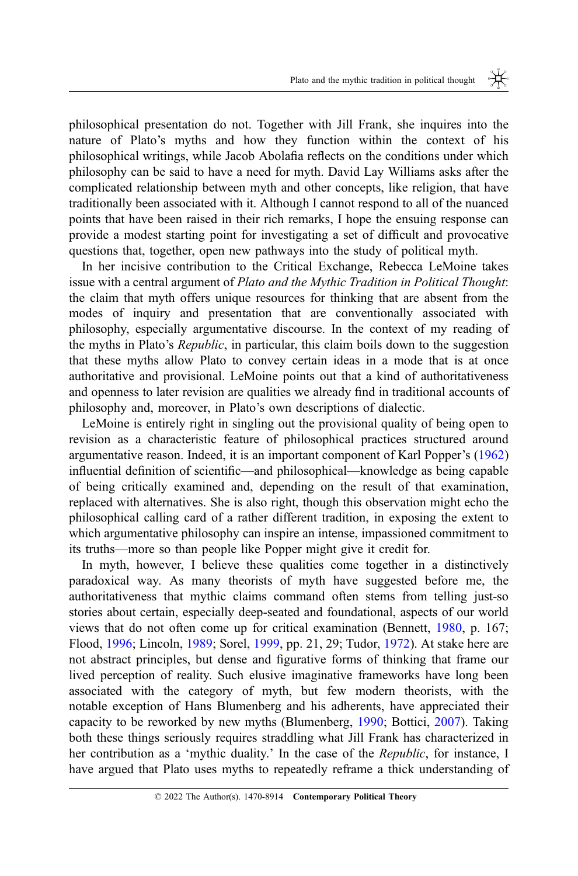philosophical presentation do not. Together with Jill Frank, she inquires into the nature of Plato's myths and how they function within the context of his philosophical writings, while Jacob Abolafia reflects on the conditions under which philosophy can be said to have a need for myth. David Lay Williams asks after the complicated relationship between myth and other concepts, like religion, that have traditionally been associated with it. Although I cannot respond to all of the nuanced points that have been raised in their rich remarks, I hope the ensuing response can provide a modest starting point for investigating a set of difficult and provocative questions that, together, open new pathways into the study of political myth.

In her incisive contribution to the Critical Exchange, Rebecca LeMoine takes issue with a central argument of Plato and the Mythic Tradition in Political Thought: the claim that myth offers unique resources for thinking that are absent from the modes of inquiry and presentation that are conventionally associated with philosophy, especially argumentative discourse. In the context of my reading of the myths in Plato's Republic, in particular, this claim boils down to the suggestion that these myths allow Plato to convey certain ideas in a mode that is at once authoritative and provisional. LeMoine points out that a kind of authoritativeness and openness to later revision are qualities we already find in traditional accounts of philosophy and, moreover, in Plato's own descriptions of dialectic.

LeMoine is entirely right in singling out the provisional quality of being open to revision as a characteristic feature of philosophical practices structured around argumentative reason. Indeed, it is an important component of Karl Popper's ([1962\)](#page-27-0) influential definition of scientific—and philosophical—knowledge as being capable of being critically examined and, depending on the result of that examination, replaced with alternatives. She is also right, though this observation might echo the philosophical calling card of a rather different tradition, in exposing the extent to which argumentative philosophy can inspire an intense, impassioned commitment to its truths—more so than people like Popper might give it credit for.

In myth, however, I believe these qualities come together in a distinctively paradoxical way. As many theorists of myth have suggested before me, the authoritativeness that mythic claims command often stems from telling just-so stories about certain, especially deep-seated and foundational, aspects of our world views that do not often come up for critical examination (Bennett, [1980](#page-27-0), p. 167; Flood, [1996;](#page-27-0) Lincoln, [1989;](#page-27-0) Sorel, [1999,](#page-28-0) pp. 21, 29; Tudor, [1972\)](#page-28-0). At stake here are not abstract principles, but dense and figurative forms of thinking that frame our lived perception of reality. Such elusive imaginative frameworks have long been associated with the category of myth, but few modern theorists, with the notable exception of Hans Blumenberg and his adherents, have appreciated their capacity to be reworked by new myths (Blumenberg, [1990;](#page-27-0) Bottici, [2007](#page-27-0)). Taking both these things seriously requires straddling what Jill Frank has characterized in her contribution as a 'mythic duality.' In the case of the *Republic*, for instance, I have argued that Plato uses myths to repeatedly reframe a thick understanding of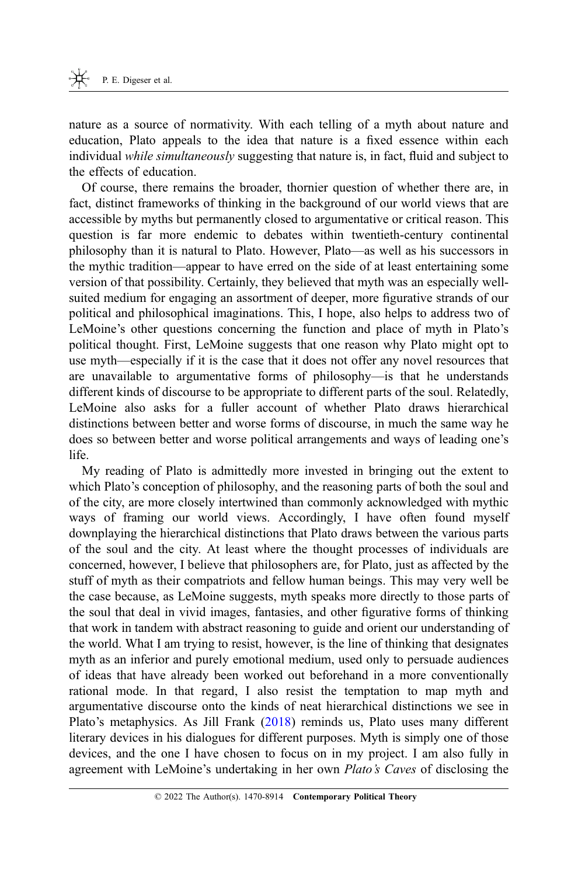nature as a source of normativity. With each telling of a myth about nature and education, Plato appeals to the idea that nature is a fixed essence within each individual while simultaneously suggesting that nature is, in fact, fluid and subject to the effects of education.

Of course, there remains the broader, thornier question of whether there are, in fact, distinct frameworks of thinking in the background of our world views that are accessible by myths but permanently closed to argumentative or critical reason. This question is far more endemic to debates within twentieth-century continental philosophy than it is natural to Plato. However, Plato—as well as his successors in the mythic tradition—appear to have erred on the side of at least entertaining some version of that possibility. Certainly, they believed that myth was an especially wellsuited medium for engaging an assortment of deeper, more figurative strands of our political and philosophical imaginations. This, I hope, also helps to address two of LeMoine's other questions concerning the function and place of myth in Plato's political thought. First, LeMoine suggests that one reason why Plato might opt to use myth—especially if it is the case that it does not offer any novel resources that are unavailable to argumentative forms of philosophy—is that he understands different kinds of discourse to be appropriate to different parts of the soul. Relatedly, LeMoine also asks for a fuller account of whether Plato draws hierarchical distinctions between better and worse forms of discourse, in much the same way he does so between better and worse political arrangements and ways of leading one's life.

My reading of Plato is admittedly more invested in bringing out the extent to which Plato's conception of philosophy, and the reasoning parts of both the soul and of the city, are more closely intertwined than commonly acknowledged with mythic ways of framing our world views. Accordingly, I have often found myself downplaying the hierarchical distinctions that Plato draws between the various parts of the soul and the city. At least where the thought processes of individuals are concerned, however, I believe that philosophers are, for Plato, just as affected by the stuff of myth as their compatriots and fellow human beings. This may very well be the case because, as LeMoine suggests, myth speaks more directly to those parts of the soul that deal in vivid images, fantasies, and other figurative forms of thinking that work in tandem with abstract reasoning to guide and orient our understanding of the world. What I am trying to resist, however, is the line of thinking that designates myth as an inferior and purely emotional medium, used only to persuade audiences of ideas that have already been worked out beforehand in a more conventionally rational mode. In that regard, I also resist the temptation to map myth and argumentative discourse onto the kinds of neat hierarchical distinctions we see in Plato's metaphysics. As Jill Frank ([2018](#page-27-0)) reminds us, Plato uses many different literary devices in his dialogues for different purposes. Myth is simply one of those devices, and the one I have chosen to focus on in my project. I am also fully in agreement with LeMoine's undertaking in her own Plato's Caves of disclosing the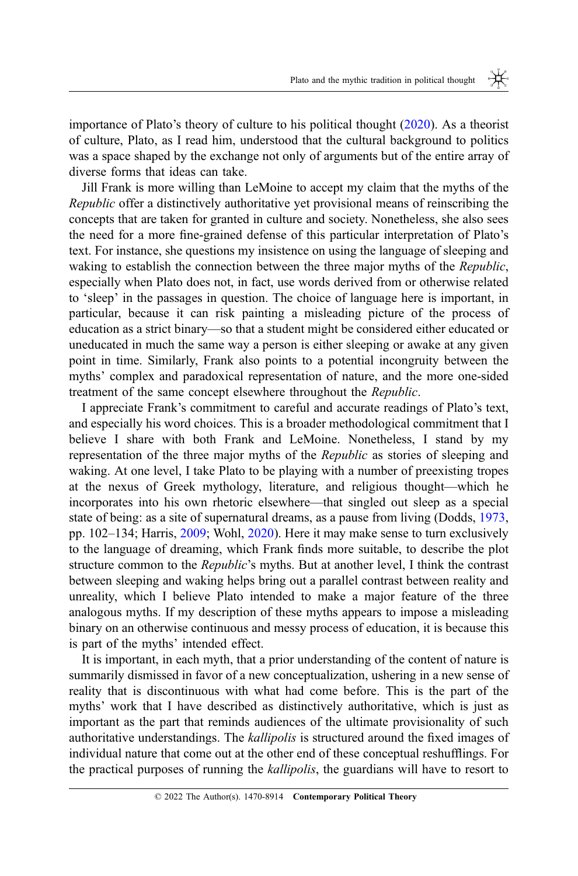importance of Plato's theory of culture to his political thought [\(2020](#page-27-0)). As a theorist of culture, Plato, as I read him, understood that the cultural background to politics was a space shaped by the exchange not only of arguments but of the entire array of diverse forms that ideas can take.

Jill Frank is more willing than LeMoine to accept my claim that the myths of the Republic offer a distinctively authoritative yet provisional means of reinscribing the concepts that are taken for granted in culture and society. Nonetheless, she also sees the need for a more fine-grained defense of this particular interpretation of Plato's text. For instance, she questions my insistence on using the language of sleeping and waking to establish the connection between the three major myths of the *Republic*, especially when Plato does not, in fact, use words derived from or otherwise related to 'sleep' in the passages in question. The choice of language here is important, in particular, because it can risk painting a misleading picture of the process of education as a strict binary—so that a student might be considered either educated or uneducated in much the same way a person is either sleeping or awake at any given point in time. Similarly, Frank also points to a potential incongruity between the myths' complex and paradoxical representation of nature, and the more one-sided treatment of the same concept elsewhere throughout the Republic.

I appreciate Frank's commitment to careful and accurate readings of Plato's text, and especially his word choices. This is a broader methodological commitment that I believe I share with both Frank and LeMoine. Nonetheless, I stand by my representation of the three major myths of the Republic as stories of sleeping and waking. At one level, I take Plato to be playing with a number of preexisting tropes at the nexus of Greek mythology, literature, and religious thought—which he incorporates into his own rhetoric elsewhere—that singled out sleep as a special state of being: as a site of supernatural dreams, as a pause from living (Dodds, [1973](#page-27-0), pp. 102–134; Harris, [2009;](#page-27-0) Wohl, [2020](#page-28-0)). Here it may make sense to turn exclusively to the language of dreaming, which Frank finds more suitable, to describe the plot structure common to the Republic's myths. But at another level, I think the contrast between sleeping and waking helps bring out a parallel contrast between reality and unreality, which I believe Plato intended to make a major feature of the three analogous myths. If my description of these myths appears to impose a misleading binary on an otherwise continuous and messy process of education, it is because this is part of the myths' intended effect.

It is important, in each myth, that a prior understanding of the content of nature is summarily dismissed in favor of a new conceptualization, ushering in a new sense of reality that is discontinuous with what had come before. This is the part of the myths' work that I have described as distinctively authoritative, which is just as important as the part that reminds audiences of the ultimate provisionality of such authoritative understandings. The kallipolis is structured around the fixed images of individual nature that come out at the other end of these conceptual reshufflings. For the practical purposes of running the kallipolis, the guardians will have to resort to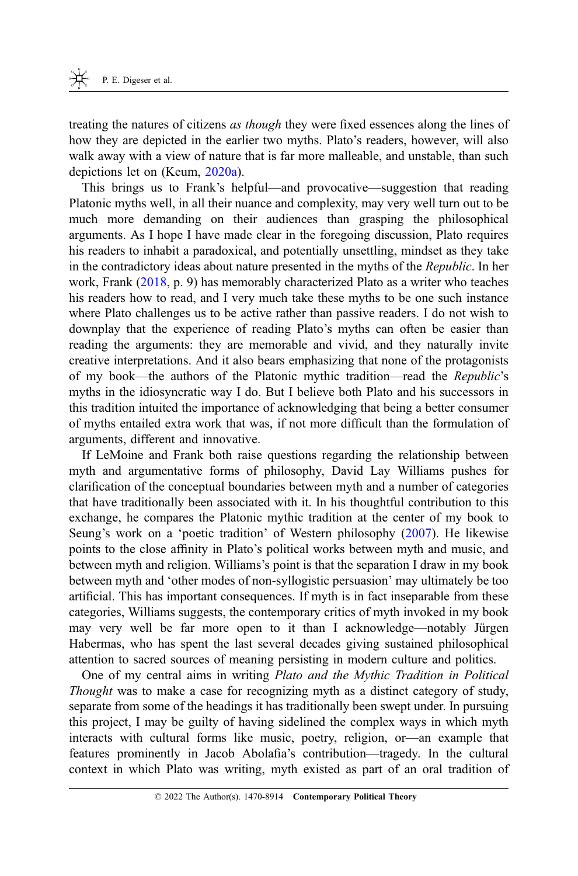treating the natures of citizens as though they were fixed essences along the lines of how they are depicted in the earlier two myths. Plato's readers, however, will also walk away with a view of nature that is far more malleable, and unstable, than such depictions let on (Keum, [2020a](#page-27-0)).

This brings us to Frank's helpful—and provocative—suggestion that reading Platonic myths well, in all their nuance and complexity, may very well turn out to be much more demanding on their audiences than grasping the philosophical arguments. As I hope I have made clear in the foregoing discussion, Plato requires his readers to inhabit a paradoxical, and potentially unsettling, mindset as they take in the contradictory ideas about nature presented in the myths of the *Republic*. In her work, Frank ([2018,](#page-27-0) p. 9) has memorably characterized Plato as a writer who teaches his readers how to read, and I very much take these myths to be one such instance where Plato challenges us to be active rather than passive readers. I do not wish to downplay that the experience of reading Plato's myths can often be easier than reading the arguments: they are memorable and vivid, and they naturally invite creative interpretations. And it also bears emphasizing that none of the protagonists of my book—the authors of the Platonic mythic tradition—read the Republic's myths in the idiosyncratic way I do. But I believe both Plato and his successors in this tradition intuited the importance of acknowledging that being a better consumer of myths entailed extra work that was, if not more difficult than the formulation of arguments, different and innovative.

If LeMoine and Frank both raise questions regarding the relationship between myth and argumentative forms of philosophy, David Lay Williams pushes for clarification of the conceptual boundaries between myth and a number of categories that have traditionally been associated with it. In his thoughtful contribution to this exchange, he compares the Platonic mythic tradition at the center of my book to Seung's work on a 'poetic tradition' of Western philosophy [\(2007](#page-28-0)). He likewise points to the close affinity in Plato's political works between myth and music, and between myth and religion. Williams's point is that the separation I draw in my book between myth and 'other modes of non-syllogistic persuasion' may ultimately be too artificial. This has important consequences. If myth is in fact inseparable from these categories, Williams suggests, the contemporary critics of myth invoked in my book may very well be far more open to it than I acknowledge—notably Jürgen Habermas, who has spent the last several decades giving sustained philosophical attention to sacred sources of meaning persisting in modern culture and politics.

One of my central aims in writing Plato and the Mythic Tradition in Political Thought was to make a case for recognizing myth as a distinct category of study, separate from some of the headings it has traditionally been swept under. In pursuing this project, I may be guilty of having sidelined the complex ways in which myth interacts with cultural forms like music, poetry, religion, or—an example that features prominently in Jacob Abolafia's contribution—tragedy. In the cultural context in which Plato was writing, myth existed as part of an oral tradition of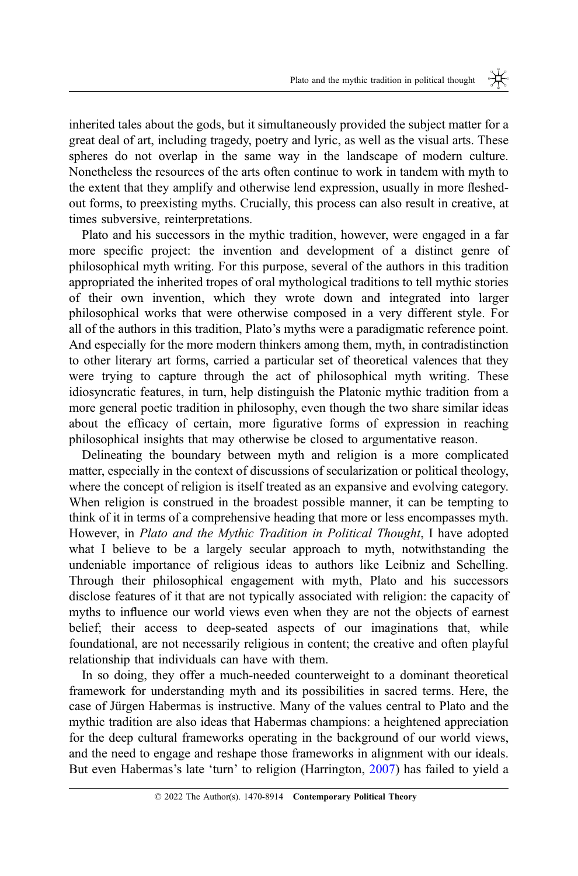inherited tales about the gods, but it simultaneously provided the subject matter for a great deal of art, including tragedy, poetry and lyric, as well as the visual arts. These spheres do not overlap in the same way in the landscape of modern culture. Nonetheless the resources of the arts often continue to work in tandem with myth to the extent that they amplify and otherwise lend expression, usually in more fleshedout forms, to preexisting myths. Crucially, this process can also result in creative, at times subversive, reinterpretations.

Plato and his successors in the mythic tradition, however, were engaged in a far more specific project: the invention and development of a distinct genre of philosophical myth writing. For this purpose, several of the authors in this tradition appropriated the inherited tropes of oral mythological traditions to tell mythic stories of their own invention, which they wrote down and integrated into larger philosophical works that were otherwise composed in a very different style. For all of the authors in this tradition, Plato's myths were a paradigmatic reference point. And especially for the more modern thinkers among them, myth, in contradistinction to other literary art forms, carried a particular set of theoretical valences that they were trying to capture through the act of philosophical myth writing. These idiosyncratic features, in turn, help distinguish the Platonic mythic tradition from a more general poetic tradition in philosophy, even though the two share similar ideas about the efficacy of certain, more figurative forms of expression in reaching philosophical insights that may otherwise be closed to argumentative reason.

Delineating the boundary between myth and religion is a more complicated matter, especially in the context of discussions of secularization or political theology, where the concept of religion is itself treated as an expansive and evolving category. When religion is construed in the broadest possible manner, it can be tempting to think of it in terms of a comprehensive heading that more or less encompasses myth. However, in Plato and the Mythic Tradition in Political Thought, I have adopted what I believe to be a largely secular approach to myth, notwithstanding the undeniable importance of religious ideas to authors like Leibniz and Schelling. Through their philosophical engagement with myth, Plato and his successors disclose features of it that are not typically associated with religion: the capacity of myths to influence our world views even when they are not the objects of earnest belief; their access to deep-seated aspects of our imaginations that, while foundational, are not necessarily religious in content; the creative and often playful relationship that individuals can have with them.

In so doing, they offer a much-needed counterweight to a dominant theoretical framework for understanding myth and its possibilities in sacred terms. Here, the case of Jürgen Habermas is instructive. Many of the values central to Plato and the mythic tradition are also ideas that Habermas champions: a heightened appreciation for the deep cultural frameworks operating in the background of our world views, and the need to engage and reshape those frameworks in alignment with our ideals. But even Habermas's late 'turn' to religion (Harrington, [2007\)](#page-27-0) has failed to yield a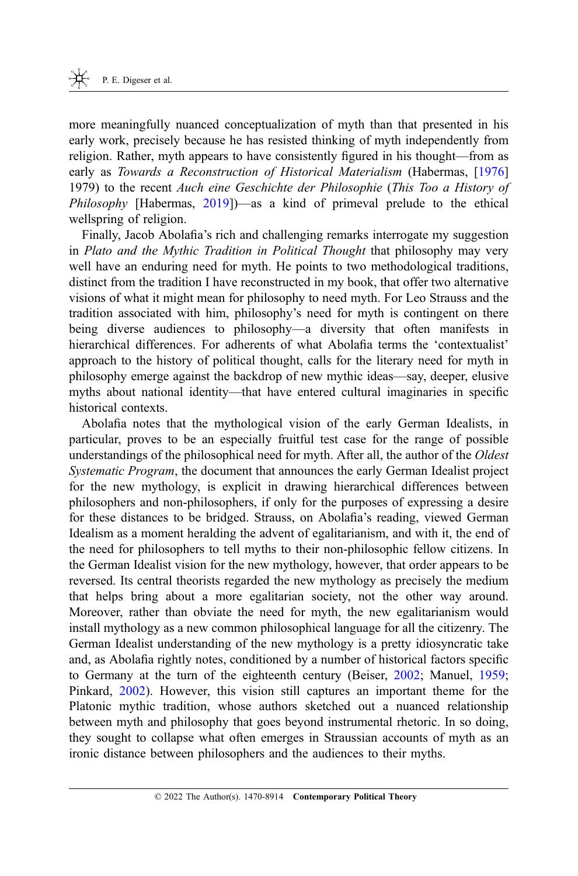more meaningfully nuanced conceptualization of myth than that presented in his early work, precisely because he has resisted thinking of myth independently from religion. Rather, myth appears to have consistently figured in his thought—from as early as Towards a Reconstruction of Historical Materialism (Habermas, [[1976\]](#page-27-0) 1979) to the recent Auch eine Geschichte der Philosophie (This Too a History of *Philosophy* [Habermas,  $2019$ ]—as a kind of primeval prelude to the ethical wellspring of religion.

Finally, Jacob Abolafia's rich and challenging remarks interrogate my suggestion in Plato and the Mythic Tradition in Political Thought that philosophy may very well have an enduring need for myth. He points to two methodological traditions, distinct from the tradition I have reconstructed in my book, that offer two alternative visions of what it might mean for philosophy to need myth. For Leo Strauss and the tradition associated with him, philosophy's need for myth is contingent on there being diverse audiences to philosophy—a diversity that often manifests in hierarchical differences. For adherents of what Abolafia terms the 'contextualist' approach to the history of political thought, calls for the literary need for myth in philosophy emerge against the backdrop of new mythic ideas—say, deeper, elusive myths about national identity—that have entered cultural imaginaries in specific historical contexts.

Abolafia notes that the mythological vision of the early German Idealists, in particular, proves to be an especially fruitful test case for the range of possible understandings of the philosophical need for myth. After all, the author of the Oldest Systematic Program, the document that announces the early German Idealist project for the new mythology, is explicit in drawing hierarchical differences between philosophers and non-philosophers, if only for the purposes of expressing a desire for these distances to be bridged. Strauss, on Abolafia's reading, viewed German Idealism as a moment heralding the advent of egalitarianism, and with it, the end of the need for philosophers to tell myths to their non-philosophic fellow citizens. In the German Idealist vision for the new mythology, however, that order appears to be reversed. Its central theorists regarded the new mythology as precisely the medium that helps bring about a more egalitarian society, not the other way around. Moreover, rather than obviate the need for myth, the new egalitarianism would install mythology as a new common philosophical language for all the citizenry. The German Idealist understanding of the new mythology is a pretty idiosyncratic take and, as Abolafia rightly notes, conditioned by a number of historical factors specific to Germany at the turn of the eighteenth century (Beiser, [2002;](#page-26-0) Manuel, [1959](#page-27-0); Pinkard, [2002\)](#page-27-0). However, this vision still captures an important theme for the Platonic mythic tradition, whose authors sketched out a nuanced relationship between myth and philosophy that goes beyond instrumental rhetoric. In so doing, they sought to collapse what often emerges in Straussian accounts of myth as an ironic distance between philosophers and the audiences to their myths.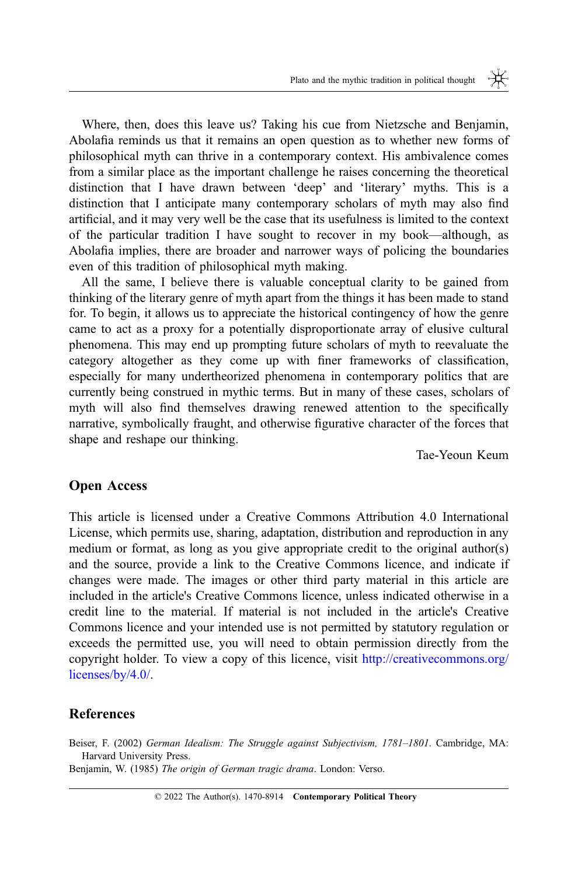₩.

<span id="page-26-0"></span>Where, then, does this leave us? Taking his cue from Nietzsche and Benjamin, Abolafia reminds us that it remains an open question as to whether new forms of philosophical myth can thrive in a contemporary context. His ambivalence comes from a similar place as the important challenge he raises concerning the theoretical distinction that I have drawn between 'deep' and 'literary' myths. This is a distinction that I anticipate many contemporary scholars of myth may also find artificial, and it may very well be the case that its usefulness is limited to the context of the particular tradition I have sought to recover in my book—although, as Abolafia implies, there are broader and narrower ways of policing the boundaries even of this tradition of philosophical myth making.

All the same, I believe there is valuable conceptual clarity to be gained from thinking of the literary genre of myth apart from the things it has been made to stand for. To begin, it allows us to appreciate the historical contingency of how the genre came to act as a proxy for a potentially disproportionate array of elusive cultural phenomena. This may end up prompting future scholars of myth to reevaluate the category altogether as they come up with finer frameworks of classification, especially for many undertheorized phenomena in contemporary politics that are currently being construed in mythic terms. But in many of these cases, scholars of myth will also find themselves drawing renewed attention to the specifically narrative, symbolically fraught, and otherwise figurative character of the forces that shape and reshape our thinking.

Tae-Yeoun Keum

#### Open Access

This article is licensed under a Creative Commons Attribution 4.0 International License, which permits use, sharing, adaptation, distribution and reproduction in any medium or format, as long as you give appropriate credit to the original author(s) and the source, provide a link to the Creative Commons licence, and indicate if changes were made. The images or other third party material in this article are included in the article's Creative Commons licence, unless indicated otherwise in a credit line to the material. If material is not included in the article's Creative Commons licence and your intended use is not permitted by statutory regulation or exceeds the permitted use, you will need to obtain permission directly from the copyright holder. To view a copy of this licence, visit [http://creativecommons.org/](http://creativecommons.org/licenses/by/4.0/) [licenses/by/4.0/](http://creativecommons.org/licenses/by/4.0/).

#### **References**

Beiser, F. (2002) German Idealism: The Struggle against Subjectivism, 1781–1801. Cambridge, MA: Harvard University Press.

Benjamin, W. (1985) The origin of German tragic drama. London: Verso.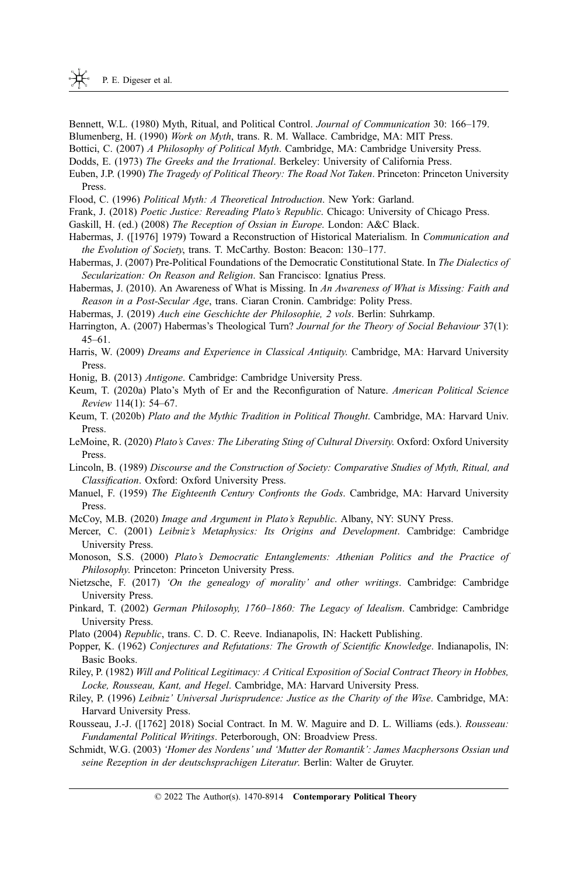- <span id="page-27-0"></span>Bennett, W.L. (1980) Myth, Ritual, and Political Control. Journal of Communication 30: 166–179.
- Blumenberg, H. (1990) Work on Myth, trans. R. M. Wallace. Cambridge, MA: MIT Press.

Bottici, C. (2007) A Philosophy of Political Myth. Cambridge, MA: Cambridge University Press.

- Dodds, E. (1973) The Greeks and the Irrational. Berkeley: University of California Press.
- Euben, J.P. (1990) The Tragedy of Political Theory: The Road Not Taken. Princeton: Princeton University Press.
- Flood, C. (1996) Political Myth: A Theoretical Introduction. New York: Garland.
- Frank, J. (2018) Poetic Justice: Rereading Plato's Republic. Chicago: University of Chicago Press.
- Gaskill, H. (ed.) (2008) The Reception of Ossian in Europe. London: A&C Black.
- Habermas, J. ([1976] 1979) Toward a Reconstruction of Historical Materialism. In Communication and the Evolution of Society, trans. T. McCarthy. Boston: Beacon: 130-177.
- Habermas, J. (2007) Pre-Political Foundations of the Democratic Constitutional State. In The Dialectics of Secularization: On Reason and Religion. San Francisco: Ignatius Press.
- Habermas, J. (2010). An Awareness of What is Missing. In An Awareness of What is Missing: Faith and Reason in a Post-Secular Age, trans. Ciaran Cronin. Cambridge: Polity Press.

Habermas, J. (2019) Auch eine Geschichte der Philosophie, 2 vols. Berlin: Suhrkamp.

- Harrington, A. (2007) Habermas's Theological Turn? Journal for the Theory of Social Behaviour 37(1): 45–61.
- Harris, W. (2009) Dreams and Experience in Classical Antiquity. Cambridge, MA: Harvard University Press.
- Honig, B. (2013) Antigone. Cambridge: Cambridge University Press.
- Keum, T. (2020a) Plato's Myth of Er and the Reconfiguration of Nature. American Political Science Review 114(1): 54–67.
- Keum, T. (2020b) Plato and the Mythic Tradition in Political Thought. Cambridge, MA: Harvard Univ. Press.
- LeMoine, R. (2020) Plato's Caves: The Liberating Sting of Cultural Diversity. Oxford: Oxford University Press.
- Lincoln, B. (1989) Discourse and the Construction of Society: Comparative Studies of Myth, Ritual, and Classification. Oxford: Oxford University Press.
- Manuel, F. (1959) The Eighteenth Century Confronts the Gods. Cambridge, MA: Harvard University Press.
- McCoy, M.B. (2020) *Image and Argument in Plato's Republic*. Albany, NY: SUNY Press.
- Mercer, C. (2001) Leibniz's Metaphysics: Its Origins and Development. Cambridge: Cambridge University Press.
- Monoson, S.S. (2000) Plato's Democratic Entanglements: Athenian Politics and the Practice of Philosophy. Princeton: Princeton University Press.
- Nietzsche, F. (2017) 'On the genealogy of morality' and other writings. Cambridge: Cambridge University Press.
- Pinkard, T. (2002) German Philosophy, 1760–1860: The Legacy of Idealism. Cambridge: Cambridge University Press.
- Plato (2004) Republic, trans. C. D. C. Reeve. Indianapolis, IN: Hackett Publishing.
- Popper, K. (1962) Conjectures and Refutations: The Growth of Scientific Knowledge. Indianapolis, IN: Basic Books.
- Riley, P. (1982) Will and Political Legitimacy: A Critical Exposition of Social Contract Theory in Hobbes, Locke, Rousseau, Kant, and Hegel. Cambridge, MA: Harvard University Press.
- Riley, P. (1996) Leibniz' Universal Jurisprudence: Justice as the Charity of the Wise. Cambridge, MA: Harvard University Press.
- Rousseau, J.-J. ([1762] 2018) Social Contract. In M. W. Maguire and D. L. Williams (eds.). Rousseau: Fundamental Political Writings. Peterborough, ON: Broadview Press.
- Schmidt, W.G. (2003) 'Homer des Nordens' und 'Mutter der Romantik': James Macphersons Ossian und seine Rezeption in der deutschsprachigen Literatur. Berlin: Walter de Gruyter.